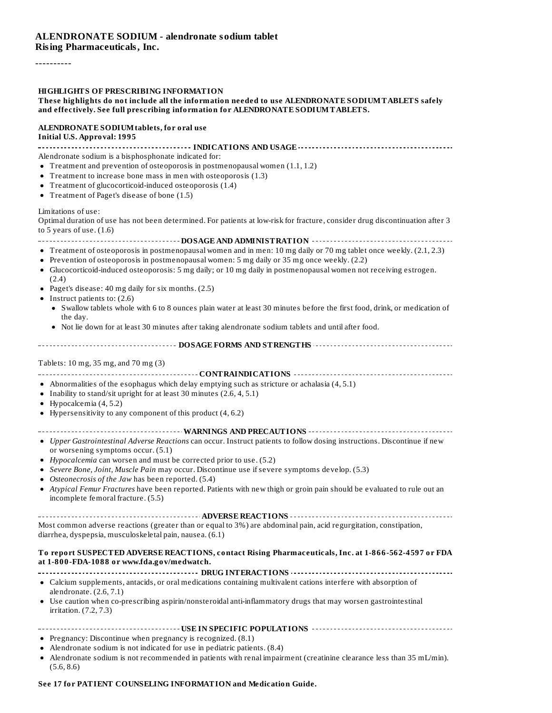----------

#### **HIGHLIGHTS OF PRESCRIBING INFORMATION**

#### **These highlights do not include all the information needed to use ALENDRONATE SODIUMTABLETS safely and effectively. See full prescribing information for ALENDRONATE SODIUMTABLETS.**

#### **ALENDRONATE SODIUMtablets, for oral use**

#### **Initial U.S. Approval: 1995**

| Alendronate sodium is a bisphosphonate indicated for:                                                                                                                         |
|-------------------------------------------------------------------------------------------------------------------------------------------------------------------------------|
| • Treatment and prevention of osteoporosis in postmenopausal women (1.1, 1.2)                                                                                                 |
| • Treatment to increase bone mass in men with osteoporosis (1.3)                                                                                                              |
|                                                                                                                                                                               |
| • Treatment of glucocorticoid-induced osteoporosis (1.4)                                                                                                                      |
| • Treatment of Paget's disease of bone (1.5)                                                                                                                                  |
| Limitations of use:                                                                                                                                                           |
| Optimal duration of use has not been determined. For patients at low-risk for fracture, consider drug discontinuation after 3                                                 |
| to 5 years of use. $(1.6)$                                                                                                                                                    |
|                                                                                                                                                                               |
|                                                                                                                                                                               |
| • Treatment of osteoporosis in postmenopausal women and in men: 10 mg daily or 70 mg tablet once weekly. (2.1, 2.3)                                                           |
| • Prevention of osteoporosis in postmenopausal women: 5 mg daily or 35 mg once weekly. (2.2)                                                                                  |
| • Glucocorticoid-induced osteoporosis: 5 mg daily; or 10 mg daily in postmenopausal women not receiving estrogen.                                                             |
| (2.4)                                                                                                                                                                         |
| • Paget's disease: 40 mg daily for six months. (2.5)                                                                                                                          |
| • Instruct patients to: $(2.6)$                                                                                                                                               |
| • Swallow tablets whole with 6 to 8 ounces plain water at least 30 minutes before the first food, drink, or medication of                                                     |
| the day.                                                                                                                                                                      |
| • Not lie down for at least 30 minutes after taking alendronate sodium tablets and until after food.                                                                          |
| ------------------------------------- DOSAGE FORMS AND STRENGTHS ----------------------------------                                                                           |
|                                                                                                                                                                               |
| Tablets: 10 mg, 35 mg, and 70 mg (3)                                                                                                                                          |
|                                                                                                                                                                               |
| • Abnormalities of the esophagus which delay emptying such as stricture or achalasia (4, 5.1)                                                                                 |
|                                                                                                                                                                               |
| • Inability to stand/sit upright for at least 30 minutes (2.6, 4, 5.1)                                                                                                        |
| • Hypocalcemia $(4, 5.2)$                                                                                                                                                     |
| • Hypersensitivity to any component of this product $(4, 6.2)$                                                                                                                |
|                                                                                                                                                                               |
| • Upper Gastrointestinal Adverse Reactions can occur. Instruct patients to follow dosing instructions. Discontinue if new                                                     |
| or worsening symptoms occur. (5.1)                                                                                                                                            |
|                                                                                                                                                                               |
| • Hypocalcemia can worsen and must be corrected prior to use. (5.2)                                                                                                           |
| • Severe Bone, Joint, Muscle Pain may occur. Discontinue use if severe symptoms develop. (5.3)                                                                                |
| • Osteonecrosis of the Jaw has been reported. (5.4)                                                                                                                           |
| • Atypical Femur Fractures have been reported. Patients with new thigh or groin pain should be evaluated to rule out an                                                       |
| incomplete femoral fracture. (5.5)                                                                                                                                            |
|                                                                                                                                                                               |
|                                                                                                                                                                               |
| Most common adverse reactions (greater than or equal to 3%) are abdominal pain, acid regurgitation, constipation,<br>diarrhea, dyspepsia, musculoskeletal pain, nausea. (6.1) |
|                                                                                                                                                                               |
| To report SUSPECTED ADVERSE REACTIONS, contact Rising Pharmaceuticals, Inc. at 1-866-562-4597 or FDA                                                                          |
| at 1-800-FDA-1088 or www.fda.gov/medwatch.                                                                                                                                    |
|                                                                                                                                                                               |
| • Calcium supplements, antacids, or oral medications containing multivalent cations interfere with absorption of                                                              |
| alendronate. (2.6, 7.1)                                                                                                                                                       |
| • Use caution when co-prescribing aspirin/nonsteroidal anti-inflammatory drugs that may worsen gastrointestinal                                                               |
| irritation. $(7.2, 7.3)$                                                                                                                                                      |
|                                                                                                                                                                               |
|                                                                                                                                                                               |
| • Pregnancy: Discontinue when pregnancy is recognized. (8.1)                                                                                                                  |
| • Alendronate sodium is not indicated for use in pediatric patients. (8.4)                                                                                                    |
| • Alendronate sodium is not recommended in patients with renal impairment (creatinine clearance less than 35 mL/min).                                                         |
|                                                                                                                                                                               |

# **See 17 for PATIENT COUNSELING INFORMATION and Medication Guide.**

(5.6, 8.6)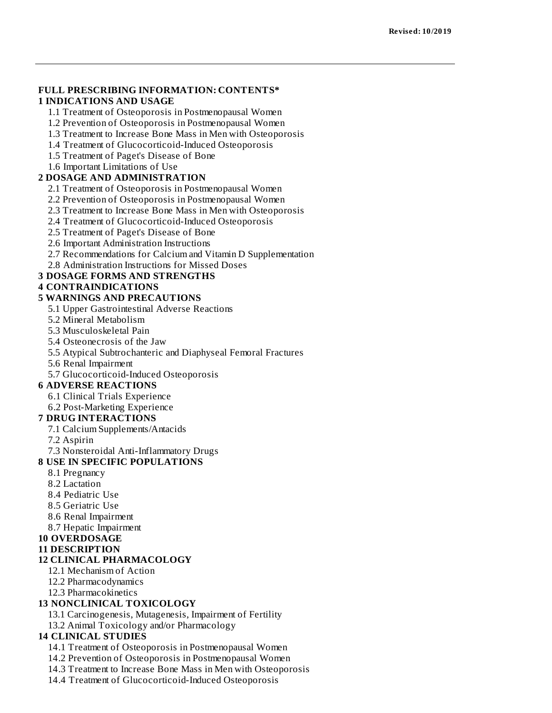#### **FULL PRESCRIBING INFORMATION: CONTENTS\* 1 INDICATIONS AND USAGE**

1.1 Treatment of Osteoporosis in Postmenopausal Women

1.2 Prevention of Osteoporosis in Postmenopausal Women

1.3 Treatment to Increase Bone Mass in Men with Osteoporosis

1.4 Treatment of Glucocorticoid-Induced Osteoporosis

1.5 Treatment of Paget's Disease of Bone

1.6 Important Limitations of Use

### **2 DOSAGE AND ADMINISTRATION**

2.1 Treatment of Osteoporosis in Postmenopausal Women

2.2 Prevention of Osteoporosis in Postmenopausal Women

2.3 Treatment to Increase Bone Mass in Men with Osteoporosis

2.4 Treatment of Glucocorticoid-Induced Osteoporosis

2.5 Treatment of Paget's Disease of Bone

2.6 Important Administration Instructions

2.7 Recommendations for Calcium and Vitamin D Supplementation

2.8 Administration Instructions for Missed Doses

#### **3 DOSAGE FORMS AND STRENGTHS**

### **4 CONTRAINDICATIONS**

#### **5 WARNINGS AND PRECAUTIONS**

5.1 Upper Gastrointestinal Adverse Reactions

5.2 Mineral Metabolism

5.3 Musculoskeletal Pain

5.4 Osteonecrosis of the Jaw

5.5 Atypical Subtrochanteric and Diaphyseal Femoral Fractures

5.6 Renal Impairment

5.7 Glucocorticoid-Induced Osteoporosis

#### **6 ADVERSE REACTIONS**

6.1 Clinical Trials Experience

6.2 Post-Marketing Experience

#### **7 DRUG INTERACTIONS**

7.1 Calcium Supplements/Antacids

7.2 Aspirin

7.3 Nonsteroidal Anti-Inflammatory Drugs

#### **8 USE IN SPECIFIC POPULATIONS**

8.1 Pregnancy

- 8.2 Lactation
- 8.4 Pediatric Use

8.5 Geriatric Use

8.6 Renal Impairment

8.7 Hepatic Impairment

**10 OVERDOSAGE**

### **11 DESCRIPTION**

#### **12 CLINICAL PHARMACOLOGY**

12.1 Mechanism of Action

12.2 Pharmacodynamics

12.3 Pharmacokinetics

#### **13 NONCLINICAL TOXICOLOGY**

13.1 Carcinogenesis, Mutagenesis, Impairment of Fertility

13.2 Animal Toxicology and/or Pharmacology

#### **14 CLINICAL STUDIES**

14.1 Treatment of Osteoporosis in Postmenopausal Women

14.2 Prevention of Osteoporosis in Postmenopausal Women

14.3 Treatment to Increase Bone Mass in Men with Osteoporosis

14.4 Treatment of Glucocorticoid-Induced Osteoporosis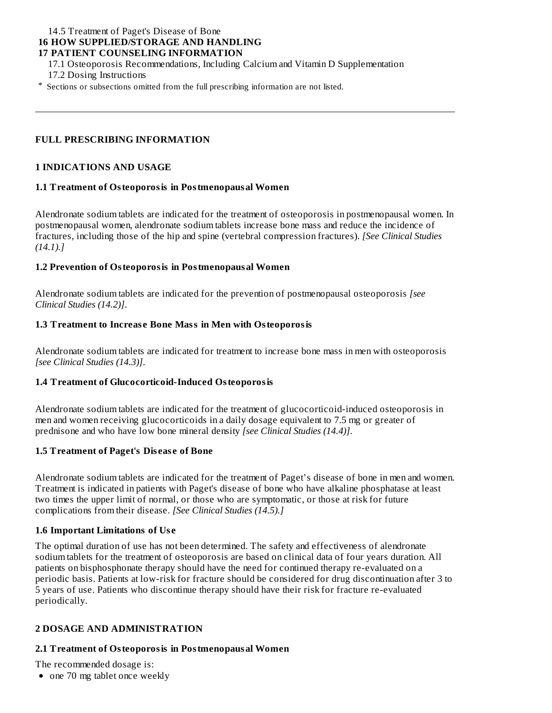### 14.5 Treatment of Paget's Disease of Bone

### **16 HOW SUPPLIED/STORAGE AND HANDLING**

# **17 PATIENT COUNSELING INFORMATION**

17.1 Osteoporosis Recommendations, Including Calcium and Vitamin D Supplementation 17.2 Dosing Instructions

\* Sections or subsections omitted from the full prescribing information are not listed.

# **FULL PRESCRIBING INFORMATION**

# **1 INDICATIONS AND USAGE**

## **1.1 Treatment of Osteoporosis in Postmenopausal Women**

Alendronate sodium tablets are indicated for the treatment of osteoporosis in postmenopausal women. In postmenopausal women, alendronate sodium tablets increase bone mass and reduce the incidence of fractures, including those of the hip and spine (vertebral compression fractures). *[See Clinical Studies (14.1).]*

## **1.2 Prevention of Osteoporosis in Postmenopausal Women**

Alendronate sodium tablets are indicated for the prevention of postmenopausal osteoporosis *[see Clinical Studies (14.2)]*.

# **1.3 Treatment to Increas e Bone Mass in Men with Osteoporosis**

Alendronate sodium tablets are indicated for treatment to increase bone mass in men with osteoporosis *[see Clinical Studies (14.3)]*.

## **1.4 Treatment of Glucocorticoid-Induced Osteoporosis**

Alendronate sodium tablets are indicated for the treatment of glucocorticoid-induced osteoporosis in men and women receiving glucocorticoids in a daily dosage equivalent to 7.5 mg or greater of prednisone and who have low bone mineral density *[see Clinical Studies (14.4)]*.

## **1.5 Treatment of Paget's Dis eas e of Bone**

Alendronate sodium tablets are indicated for the treatment of Paget's disease of bone in men and women. Treatment is indicated in patients with Paget's disease of bone who have alkaline phosphatase at least two times the upper limit of normal, or those who are symptomatic, or those at risk for future complications from their disease. *[See Clinical Studies (14.5).]*

## **1.6 Important Limitations of Us e**

The optimal duration of use has not been determined. The safety and effectiveness of alendronate sodium tablets for the treatment of osteoporosis are based on clinical data of four years duration. All patients on bisphosphonate therapy should have the need for continued therapy re-evaluated on a periodic basis. Patients at low-risk for fracture should be considered for drug discontinuation after 3 to 5 years of use. Patients who discontinue therapy should have their risk for fracture re-evaluated periodically.

# **2 DOSAGE AND ADMINISTRATION**

# **2.1 Treatment of Osteoporosis in Postmenopausal Women**

The recommended dosage is:

• one 70 mg tablet once weekly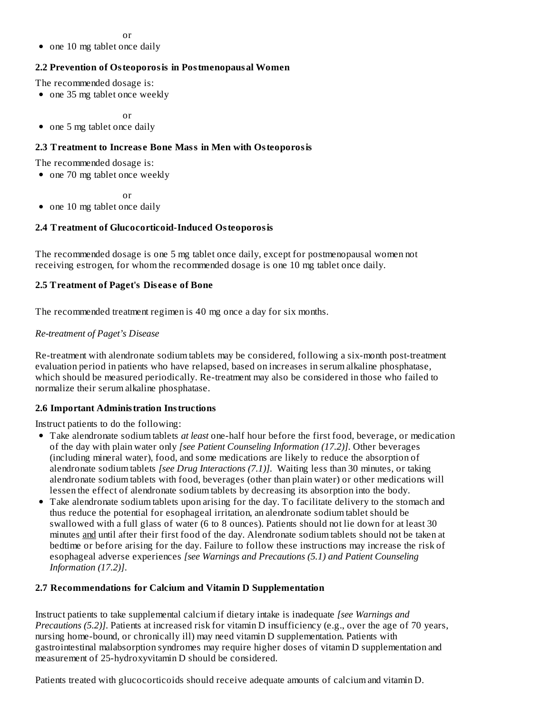or

• one 10 mg tablet once daily

# **2.2 Prevention of Osteoporosis in Postmenopausal Women**

The recommended dosage is:

• one 35 mg tablet once weekly

or

• one 5 mg tablet once daily

### **2.3 Treatment to Increas e Bone Mass in Men with Osteoporosis**

The recommended dosage is:

• one 70 mg tablet once weekly

or

• one 10 mg tablet once daily

### **2.4 Treatment of Glucocorticoid-Induced Osteoporosis**

The recommended dosage is one 5 mg tablet once daily, except for postmenopausal women not receiving estrogen, for whom the recommended dosage is one 10 mg tablet once daily.

### **2.5 Treatment of Paget's Dis eas e of Bone**

The recommended treatment regimen is 40 mg once a day for six months.

#### *Re-treatment of Paget's Disease*

Re-treatment with alendronate sodium tablets may be considered, following a six-month post-treatment evaluation period in patients who have relapsed, based on increases in serum alkaline phosphatase, which should be measured periodically. Re-treatment may also be considered in those who failed to normalize their serum alkaline phosphatase.

#### **2.6 Important Administration Instructions**

Instruct patients to do the following:

- Take alendronate sodium tablets *at least* one-half hour before the first food, beverage, or medication of the day with plain water only *[see Patient Counseling Information (17.2)]*. Other beverages (including mineral water), food, and some medications are likely to reduce the absorption of alendronate sodium tablets *[see Drug Interactions (7.1)]*. Waiting less than 30 minutes, or taking alendronate sodium tablets with food, beverages (other than plain water) or other medications will lessen the effect of alendronate sodium tablets by decreasing its absorption into the body.
- Take alendronate sodium tablets upon arising for the day. To facilitate delivery to the stomach and thus reduce the potential for esophageal irritation, an alendronate sodium tablet should be swallowed with a full glass of water (6 to 8 ounces). Patients should not lie down for at least 30 minutes and until after their first food of the day. Alendronate sodium tablets should not be taken at bedtime or before arising for the day. Failure to follow these instructions may increase the risk of esophageal adverse experiences *[see Warnings and Precautions (5.1) and Patient Counseling Information (17.2)]*.

#### **2.7 Recommendations for Calcium and Vitamin D Supplementation**

Instruct patients to take supplemental calcium if dietary intake is inadequate *[see Warnings and Precautions (5.2)]*. Patients at increased risk for vitamin D insufficiency (e.g., over the age of 70 years, nursing home-bound, or chronically ill) may need vitamin D supplementation. Patients with gastrointestinal malabsorption syndromes may require higher doses of vitamin D supplementation and measurement of 25-hydroxyvitamin D should be considered.

Patients treated with glucocorticoids should receive adequate amounts of calcium and vitamin D.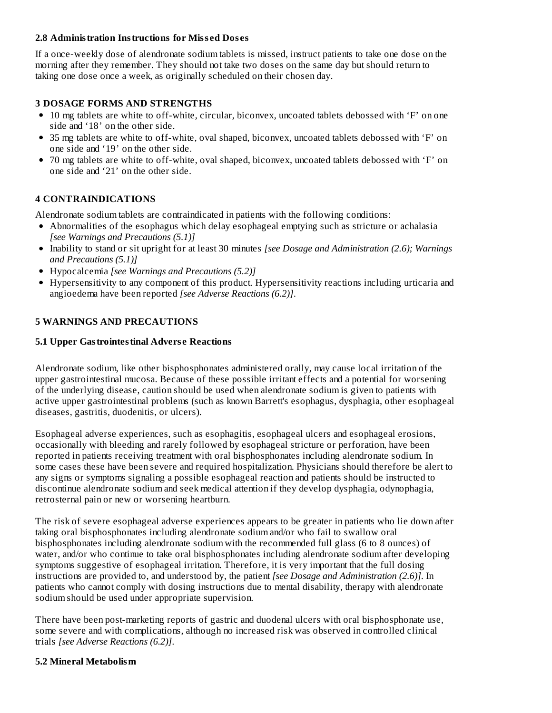#### **2.8 Administration Instructions for Miss ed Dos es**

If a once-weekly dose of alendronate sodium tablets is missed, instruct patients to take one dose on the morning after they remember. They should not take two doses on the same day but should return to taking one dose once a week, as originally scheduled on their chosen day.

## **3 DOSAGE FORMS AND STRENGTHS**

- 10 mg tablets are white to off-white, circular, biconvex, uncoated tablets debossed with 'F' on one side and '18' on the other side.
- 35 mg tablets are white to off-white, oval shaped, biconvex, uncoated tablets debossed with 'F' on one side and '19' on the other side.
- 70 mg tablets are white to off-white, oval shaped, biconvex, uncoated tablets debossed with 'F' on one side and '21' on the other side.

## **4 CONTRAINDICATIONS**

Alendronate sodium tablets are contraindicated in patients with the following conditions:

- Abnormalities of the esophagus which delay esophageal emptying such as stricture or achalasia *[see Warnings and Precautions (5.1)]*
- Inability to stand or sit upright for at least 30 minutes *[see Dosage and Administration (2.6); Warnings and Precautions (5.1)]*
- Hypocalcemia *[see Warnings and Precautions (5.2)]*
- Hypersensitivity to any component of this product. Hypersensitivity reactions including urticaria and angioedema have been reported *[see Adverse Reactions (6.2)]*.

## **5 WARNINGS AND PRECAUTIONS**

#### **5.1 Upper Gastrointestinal Advers e Reactions**

Alendronate sodium, like other bisphosphonates administered orally, may cause local irritation of the upper gastrointestinal mucosa. Because of these possible irritant effects and a potential for worsening of the underlying disease, caution should be used when alendronate sodium is given to patients with active upper gastrointestinal problems (such as known Barrett's esophagus, dysphagia, other esophageal diseases, gastritis, duodenitis, or ulcers).

Esophageal adverse experiences, such as esophagitis, esophageal ulcers and esophageal erosions, occasionally with bleeding and rarely followed by esophageal stricture or perforation, have been reported in patients receiving treatment with oral bisphosphonates including alendronate sodium. In some cases these have been severe and required hospitalization. Physicians should therefore be alert to any signs or symptoms signaling a possible esophageal reaction and patients should be instructed to discontinue alendronate sodium and seek medical attention if they develop dysphagia, odynophagia, retrosternal pain or new or worsening heartburn.

The risk of severe esophageal adverse experiences appears to be greater in patients who lie down after taking oral bisphosphonates including alendronate sodium and/or who fail to swallow oral bisphosphonates including alendronate sodium with the recommended full glass (6 to 8 ounces) of water, and/or who continue to take oral bisphosphonates including alendronate sodium after developing symptoms suggestive of esophageal irritation. Therefore, it is very important that the full dosing instructions are provided to, and understood by, the patient *[see Dosage and Administration (2.6)]*. In patients who cannot comply with dosing instructions due to mental disability, therapy with alendronate sodium should be used under appropriate supervision.

There have been post-marketing reports of gastric and duodenal ulcers with oral bisphosphonate use, some severe and with complications, although no increased risk was observed in controlled clinical trials *[see Adverse Reactions (6.2)]*.

#### **5.2 Mineral Metabolism**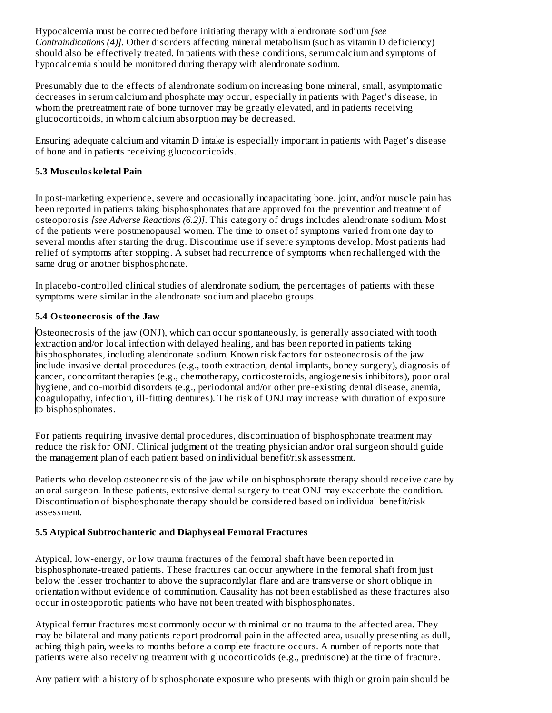Hypocalcemia must be corrected before initiating therapy with alendronate sodium *[see Contraindications (4)].* Other disorders affecting mineral metabolism (such as vitamin D deficiency) should also be effectively treated. In patients with these conditions, serum calcium and symptoms of hypocalcemia should be monitored during therapy with alendronate sodium.

Presumably due to the effects of alendronate sodium on increasing bone mineral, small, asymptomatic decreases in serum calcium and phosphate may occur, especially in patients with Paget's disease, in whom the pretreatment rate of bone turnover may be greatly elevated, and in patients receiving glucocorticoids, in whom calcium absorption may be decreased.

Ensuring adequate calcium and vitamin D intake is especially important in patients with Paget's disease of bone and in patients receiving glucocorticoids.

### **5.3 Mus culoskeletal Pain**

In post-marketing experience, severe and occasionally incapacitating bone, joint, and/or muscle pain has been reported in patients taking bisphosphonates that are approved for the prevention and treatment of osteoporosis *[see Adverse Reactions (6.2)]*. This category of drugs includes alendronate sodium. Most of the patients were postmenopausal women. The time to onset of symptoms varied from one day to several months after starting the drug. Discontinue use if severe symptoms develop. Most patients had relief of symptoms after stopping. A subset had recurrence of symptoms when rechallenged with the same drug or another bisphosphonate.

In placebo-controlled clinical studies of alendronate sodium, the percentages of patients with these symptoms were similar in the alendronate sodium and placebo groups.

### **5.4 Osteonecrosis of the Jaw**

Osteonecrosis of the jaw (ONJ), which can occur spontaneously, is generally associated with tooth extraction and/or local infection with delayed healing, and has been reported in patients taking bisphosphonates, including alendronate sodium. Known risk factors for osteonecrosis of the jaw include invasive dental procedures (e.g., tooth extraction, dental implants, boney surgery), diagnosis of cancer, concomitant therapies (e.g., chemotherapy, corticosteroids, angiogenesis inhibitors), poor oral hygiene, and co-morbid disorders (e.g., periodontal and/or other pre-existing dental disease, anemia, coagulopathy, infection, ill-fitting dentures). The risk of ONJ may increase with duration of exposure to bisphosphonates.

For patients requiring invasive dental procedures, discontinuation of bisphosphonate treatment may reduce the risk for ONJ. Clinical judgment of the treating physician and/or oral surgeon should guide the management plan of each patient based on individual benefit/risk assessment.

Patients who develop osteonecrosis of the jaw while on bisphosphonate therapy should receive care by an oral surgeon. In these patients, extensive dental surgery to treat ONJ may exacerbate the condition. Discontinuation of bisphosphonate therapy should be considered based on individual benefit/risk assessment.

#### **5.5 Atypical Subtrochanteric and Diaphys eal Femoral Fractures**

Atypical, low-energy, or low trauma fractures of the femoral shaft have been reported in bisphosphonate-treated patients. These fractures can occur anywhere in the femoral shaft from just below the lesser trochanter to above the supracondylar flare and are transverse or short oblique in orientation without evidence of comminution. Causality has not been established as these fractures also occur in osteoporotic patients who have not been treated with bisphosphonates.

Atypical femur fractures most commonly occur with minimal or no trauma to the affected area. They may be bilateral and many patients report prodromal pain in the affected area, usually presenting as dull, aching thigh pain, weeks to months before a complete fracture occurs. A number of reports note that patients were also receiving treatment with glucocorticoids (e.g., prednisone) at the time of fracture.

Any patient with a history of bisphosphonate exposure who presents with thigh or groin pain should be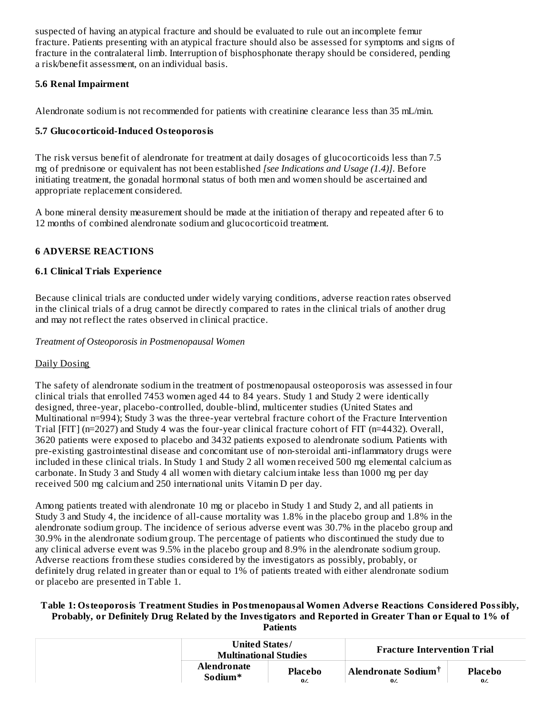suspected of having an atypical fracture and should be evaluated to rule out an incomplete femur fracture. Patients presenting with an atypical fracture should also be assessed for symptoms and signs of fracture in the contralateral limb. Interruption of bisphosphonate therapy should be considered, pending a risk/benefit assessment, on an individual basis.

## **5.6 Renal Impairment**

Alendronate sodium is not recommended for patients with creatinine clearance less than 35 mL/min.

## **5.7 Glucocorticoid-Induced Osteoporosis**

The risk versus benefit of alendronate for treatment at daily dosages of glucocorticoids less than 7.5 mg of prednisone or equivalent has not been established *[see Indications and Usage (1.4)]*. Before initiating treatment, the gonadal hormonal status of both men and women should be ascertained and appropriate replacement considered.

A bone mineral density measurement should be made at the initiation of therapy and repeated after 6 to 12 months of combined alendronate sodium and glucocorticoid treatment.

## **6 ADVERSE REACTIONS**

## **6.1 Clinical Trials Experience**

Because clinical trials are conducted under widely varying conditions, adverse reaction rates observed in the clinical trials of a drug cannot be directly compared to rates in the clinical trials of another drug and may not reflect the rates observed in clinical practice.

### *Treatment of Osteoporosis in Postmenopausal Women*

## Daily Dosing

The safety of alendronate sodium in the treatment of postmenopausal osteoporosis was assessed in four clinical trials that enrolled 7453 women aged 44 to 84 years. Study 1 and Study 2 were identically designed, three-year, placebo-controlled, double-blind, multicenter studies (United States and Multinational n=994); Study 3 was the three-year vertebral fracture cohort of the Fracture Intervention Trial [FIT] (n=2027) and Study 4 was the four-year clinical fracture cohort of FIT (n=4432). Overall, 3620 patients were exposed to placebo and 3432 patients exposed to alendronate sodium. Patients with pre-existing gastrointestinal disease and concomitant use of non-steroidal anti-inflammatory drugs were included in these clinical trials. In Study 1 and Study 2 all women received 500 mg elemental calcium as carbonate. In Study 3 and Study 4 all women with dietary calcium intake less than 1000 mg per day received 500 mg calcium and 250 international units Vitamin D per day.

Among patients treated with alendronate 10 mg or placebo in Study 1 and Study 2, and all patients in Study 3 and Study 4, the incidence of all-cause mortality was 1.8% in the placebo group and 1.8% in the alendronate sodium group. The incidence of serious adverse event was 30.7% in the placebo group and 30.9% in the alendronate sodium group. The percentage of patients who discontinued the study due to any clinical adverse event was 9.5% in the placebo group and 8.9% in the alendronate sodium group. Adverse reactions from these studies considered by the investigators as possibly, probably, or definitely drug related in greater than or equal to 1% of patients treated with either alendronate sodium or placebo are presented in Table 1.

#### **Table 1: Osteoporosis Treatment Studies in Postmenopausal Women Advers e Reactions Considered Possibly,** Probably, or Definitely Drug Related by the Investigators and Reported in Greater Than or Equal to 1% of **Patients**

| <b>United States/</b><br><b>Multinational Studies</b> |          | <b>Fracture Intervention Trial</b>       |          |
|-------------------------------------------------------|----------|------------------------------------------|----------|
| Alendronate                                           | Placebo  | $^\dagger$ Alendronate Sodium $^\dagger$ | Placebo  |
| Sodium*                                               | $\Omega$ | $\Omega$                                 | $\Omega$ |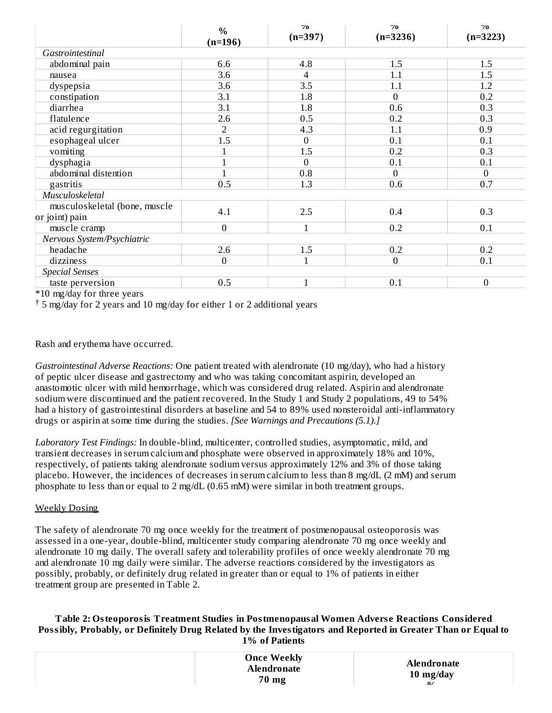|                                                 | $\frac{0}{0}$<br>$(n=196)$ | $70^{\circ}$<br>$(n=397)$ | $70^{\circ}$<br>$(n=3236)$ | $70^{\circ}$<br>$(n=3223)$ |  |  |  |
|-------------------------------------------------|----------------------------|---------------------------|----------------------------|----------------------------|--|--|--|
| Gastrointestinal                                |                            |                           |                            |                            |  |  |  |
| abdominal pain                                  | 6.6                        | 4.8                       | 1.5                        | 1.5                        |  |  |  |
| nausea                                          | 3.6                        | 4                         | 1.1                        | 1.5                        |  |  |  |
| dyspepsia                                       | 3.6                        | 3.5                       | 1.1                        | 1.2                        |  |  |  |
| constipation                                    | 3.1                        | 1.8                       | $\theta$                   | 0.2                        |  |  |  |
| diarrhea                                        | 3.1                        | 1.8                       | 0.6                        | 0.3                        |  |  |  |
| flatulence                                      | 2.6                        | 0.5                       | 0.2                        | 0.3                        |  |  |  |
| acid regurgitation                              | $\overline{2}$             | 4.3                       | 1.1                        | 0.9                        |  |  |  |
| esophageal ulcer                                | 1.5                        | $\overline{0}$            | 0.1                        | 0.1                        |  |  |  |
| vomiting                                        | $\mathbf{1}$               | 1.5                       | 0.2                        | 0.3                        |  |  |  |
| dysphagia                                       | $\mathbf{1}$               | $\overline{0}$            | 0.1                        | 0.1                        |  |  |  |
| abdominal distention                            | $\overline{1}$             | 0.8                       | $\overline{0}$             | $\mathbf{0}$               |  |  |  |
| gastritis                                       | 0.5                        | 1.3                       | 0.6                        | 0.7                        |  |  |  |
| Musculoskeletal                                 |                            |                           |                            |                            |  |  |  |
| musculoskeletal (bone, muscle<br>or joint) pain | 4.1                        | 2.5                       | 0.4                        | 0.3                        |  |  |  |
| muscle cramp                                    | $\boldsymbol{0}$           | $\mathbf{1}$              | 0.2                        | 0.1                        |  |  |  |
| Nervous System/Psychiatric                      |                            |                           |                            |                            |  |  |  |
| headache                                        | 2.6                        | 1.5                       | 0.2                        | 0.2                        |  |  |  |
| dizziness                                       | $\overline{0}$             | 1                         | $\theta$                   | 0.1                        |  |  |  |
| <b>Special Senses</b>                           |                            |                           |                            |                            |  |  |  |
| taste perversion                                | 0.5                        | $\mathbf{1}$              | 0.1                        | $\theta$                   |  |  |  |

\*10 mg/day for three years

5 mg/day for 2 years and 10 mg/day for either 1 or 2 additional years †

Rash and erythema have occurred.

*Gastrointestinal Adverse Reactions:* One patient treated with alendronate (10 mg/day), who had a history of peptic ulcer disease and gastrectomy and who was taking concomitant aspirin, developed an anastomotic ulcer with mild hemorrhage, which was considered drug related. Aspirin and alendronate sodium were discontinued and the patient recovered. In the Study 1 and Study 2 populations, 49 to 54% had a history of gastrointestinal disorders at baseline and 54 to 89% used nonsteroidal anti-inflammatory drugs or aspirin at some time during the studies. *[See Warnings and Precautions (5.1).]*

*Laboratory Test Findings:* In double-blind, multicenter, controlled studies, asymptomatic, mild, and transient decreases in serum calcium and phosphate were observed in approximately 18% and 10%, respectively, of patients taking alendronate sodium versus approximately 12% and 3% of those taking placebo. However, the incidences of decreases in serum calcium to less than 8 mg/dL (2 mM) and serum phosphate to less than or equal to 2 mg/dL (0.65 mM) were similar in both treatment groups.

#### Weekly Dosing

The safety of alendronate 70 mg once weekly for the treatment of postmenopausal osteoporosis was assessed in a one-year, double-blind, multicenter study comparing alendronate 70 mg once weekly and alendronate 10 mg daily. The overall safety and tolerability profiles of once weekly alendronate 70 mg and alendronate 10 mg daily were similar. The adverse reactions considered by the investigators as possibly, probably, or definitely drug related in greater than or equal to 1% of patients in either treatment group are presented in Table 2.

#### **Table 2: Osteoporosis Treatment Studies in Postmenopausal Women Advers e Reactions Considered** Possibly, Probably, or Definitely Drug Related by the Investigators and Reported in Greater Than or Equal to **1% of Patients**

| <b>Once Weekly</b> | <b>Alendronate</b> |
|--------------------|--------------------|
| <b>Alendronate</b> | 10 mg/day          |
| 70 mg              | $\mathbf{0}$       |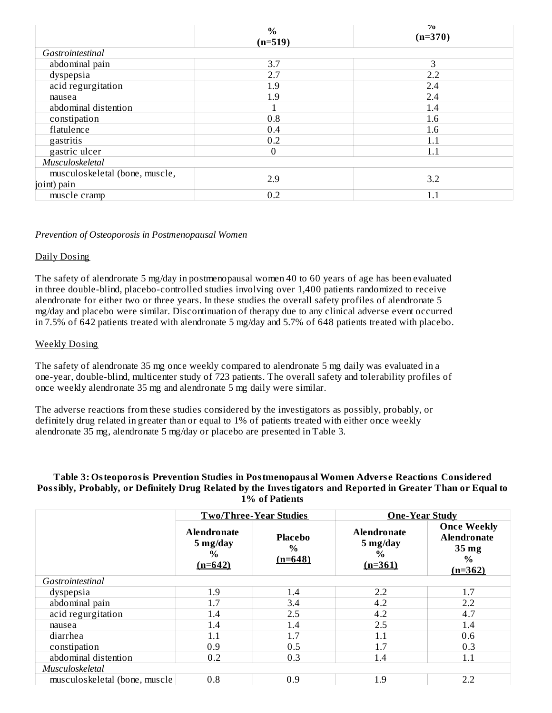|                                | $\frac{0}{0}$<br>$(n=519)$ | $70^{\circ}$<br>$(n=370)$ |  |  |  |  |  |
|--------------------------------|----------------------------|---------------------------|--|--|--|--|--|
| Gastrointestinal               |                            |                           |  |  |  |  |  |
| abdominal pain                 | 3.7                        | 3                         |  |  |  |  |  |
| dyspepsia                      | 2.7                        | 2.2                       |  |  |  |  |  |
| acid regurgitation             | 1.9                        | 2.4                       |  |  |  |  |  |
| nausea                         | 1.9                        | 2.4                       |  |  |  |  |  |
| abdominal distention           |                            | 1.4                       |  |  |  |  |  |
| constipation                   | 0.8                        | 1.6                       |  |  |  |  |  |
| flatulence                     | 0.4                        | 1.6                       |  |  |  |  |  |
| gastritis                      | 0.2                        | 1.1                       |  |  |  |  |  |
| gastric ulcer                  | $\Omega$                   | 1.1                       |  |  |  |  |  |
| Musculoskeletal                |                            |                           |  |  |  |  |  |
| musculoskeletal (bone, muscle, | 2.9                        | 3.2                       |  |  |  |  |  |
| joint) pain                    |                            |                           |  |  |  |  |  |
| muscle cramp                   | 0.2                        | 1.1                       |  |  |  |  |  |

#### *Prevention of Osteoporosis in Postmenopausal Women*

### Daily Dosing

The safety of alendronate 5 mg/day in postmenopausal women 40 to 60 years of age has been evaluated in three double-blind, placebo-controlled studies involving over 1,400 patients randomized to receive alendronate for either two or three years. In these studies the overall safety profiles of alendronate 5 mg/day and placebo were similar. Discontinuation of therapy due to any clinical adverse event occurred in 7.5% of 642 patients treated with alendronate 5 mg/day and 5.7% of 648 patients treated with placebo.

### Weekly Dosing

The safety of alendronate 35 mg once weekly compared to alendronate 5 mg daily was evaluated in a one-year, double-blind, multicenter study of 723 patients. The overall safety and tolerability profiles of once weekly alendronate 35 mg and alendronate 5 mg daily were similar.

The adverse reactions from these studies considered by the investigators as possibly, probably, or definitely drug related in greater than or equal to 1% of patients treated with either once weekly alendronate 35 mg, alendronate 5 mg/day or placebo are presented in Table 3.

#### **Table 3: Osteoporosis Prevention Studies in Postmenopausal Women Advers e Reactions Considered** Possibly, Probably, or Definitely Drug Related by the Investigators and Reported in Greater Than or Equal to **1% of Patients**

|                               | <b>Two/Three-Year Studies</b>                       |                                     | <b>One-Year Study</b>                                        |                                                                                   |
|-------------------------------|-----------------------------------------------------|-------------------------------------|--------------------------------------------------------------|-----------------------------------------------------------------------------------|
|                               | <b>Alendronate</b><br>5 mg/day<br>$\%$<br>$(n=642)$ | <b>Placebo</b><br>$\%$<br>$(n=648)$ | <b>Alendronate</b><br>5 mg/day<br>$\frac{0}{0}$<br>$(n=361)$ | <b>Once Weekly</b><br><b>Alendronate</b><br>35 <sub>mg</sub><br>$\%$<br>$(n=362)$ |
| Gastrointestinal              |                                                     |                                     |                                                              |                                                                                   |
| dyspepsia                     | 1.9                                                 | 1.4                                 | 2.2                                                          | 1.7                                                                               |
| abdominal pain                | 1.7                                                 | 3.4                                 | 4.2                                                          | 2.2                                                                               |
| acid regurgitation            | 1.4                                                 | 2.5                                 | 4.2                                                          | 4.7                                                                               |
| nausea                        | 1.4                                                 | 1.4                                 | 2.5                                                          | 1.4                                                                               |
| diarrhea                      | 1.1                                                 | 1.7                                 | 1.1                                                          | 0.6                                                                               |
| constipation                  | 0.9                                                 | 0.5                                 | 1.7                                                          | 0.3                                                                               |
| abdominal distention          | 0.2                                                 | 0.3                                 | 1.4                                                          | 1.1                                                                               |
| Musculoskeletal               |                                                     |                                     |                                                              |                                                                                   |
| musculoskeletal (bone, muscle | 0.8                                                 | 0.9                                 | 1.9                                                          | 2.2                                                                               |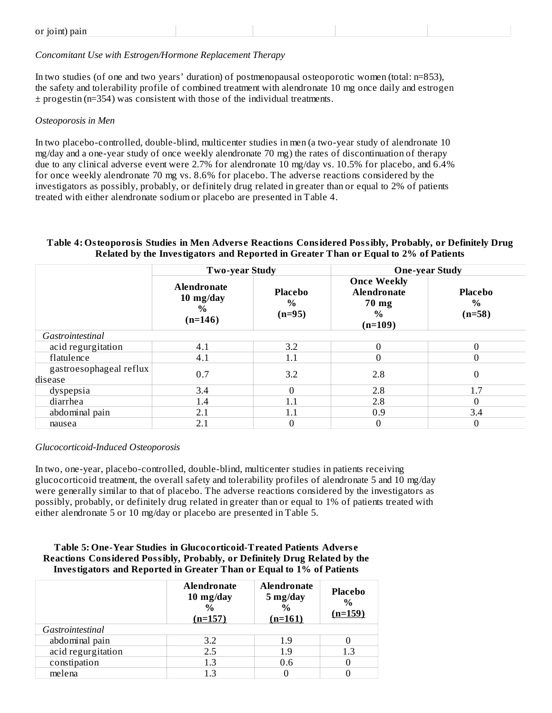| or joint) pain |  |  |
|----------------|--|--|
|                |  |  |

### *Concomitant Use with Estrogen/Hormone Replacement Therapy*

In two studies (of one and two years' duration) of postmenopausal osteoporotic women (total: n=853), the safety and tolerability profile of combined treatment with alendronate 10 mg once daily and estrogen ± progestin (n=354) was consistent with those of the individual treatments.

#### *Osteoporosis in Men*

In two placebo-controlled, double-blind, multicenter studies in men (a two-year study of alendronate 10 mg/day and a one-year study of once weekly alendronate 70 mg) the rates of discontinuation of therapy due to any clinical adverse event were 2.7% for alendronate 10 mg/day vs. 10.5% for placebo, and 6.4% for once weekly alendronate 70 mg vs. 8.6% for placebo. The adverse reactions considered by the investigators as possibly, probably, or definitely drug related in greater than or equal to 2% of patients treated with either alendronate sodium or placebo are presented in Table 4.

#### **Table 4: Osteoporosis Studies in Men Advers e Reactions Considered Possibly, Probably, or Definitely Drug Related by the Investigators and Reported in Greater Than or Equal to 2% of Patients**

|                                    | <b>Two-year Study</b>                                |                                    |                                                                        | <b>One-year Study</b>              |  |  |
|------------------------------------|------------------------------------------------------|------------------------------------|------------------------------------------------------------------------|------------------------------------|--|--|
|                                    | <b>Alendronate</b><br>10 mg/day<br>$\%$<br>$(n=146)$ | <b>Placebo</b><br>$\%$<br>$(n=95)$ | <b>Once Weekly</b><br><b>Alendronate</b><br>70 mg<br>$\%$<br>$(n=109)$ | <b>Placebo</b><br>$\%$<br>$(n=58)$ |  |  |
| Gastrointestinal                   |                                                      |                                    |                                                                        |                                    |  |  |
| acid regurgitation                 | 4.1                                                  | 3.2                                | $\theta$                                                               | 0                                  |  |  |
| flatulence                         | 4.1                                                  | 1.1                                | 0                                                                      | 0                                  |  |  |
| gastroesophageal reflux<br>disease | 0.7                                                  | 3.2                                | 2.8                                                                    | $\theta$                           |  |  |
| dyspepsia                          | 3.4                                                  | $\Omega$                           | 2.8                                                                    | 1.7                                |  |  |
| diarrhea                           | 1.4                                                  | 1.1                                | 2.8                                                                    |                                    |  |  |
| abdominal pain                     | 2.1                                                  | 1.1                                | 0.9                                                                    | 3.4                                |  |  |
| nausea                             | 2.1                                                  | 0                                  | 0                                                                      | 0                                  |  |  |

#### *Glucocorticoid-Induced Osteoporosis*

In two, one-year, placebo-controlled, double-blind, multicenter studies in patients receiving glucocorticoid treatment, the overall safety and tolerability profiles of alendronate 5 and 10 mg/day were generally similar to that of placebo. The adverse reactions considered by the investigators as possibly, probably, or definitely drug related in greater than or equal to 1% of patients treated with either alendronate 5 or 10 mg/day or placebo are presented in Table 5.

#### **Table 5: One-Year Studies in Glucocorticoid-Treated Patients Advers e Reactions Considered Possibly, Probably, or Definitely Drug Related by the Investigators and Reported in Greater Than or Equal to 1% of Patients**

|                         | <b>Alendronate</b><br>$10$ mg/day<br>$\%$<br>$(n=157)$ | <b>Alendronate</b><br>5 mg/day<br>%<br>$(n=161)$ | <b>Placebo</b><br>$\%$<br>$(n=159)$ |
|-------------------------|--------------------------------------------------------|--------------------------------------------------|-------------------------------------|
| <b>Gastrointestinal</b> |                                                        |                                                  |                                     |
| abdominal pain          | 3.2                                                    | 1.9                                              |                                     |
| acid regurgitation      | 2.5                                                    | 1.9                                              | 1.3                                 |
| constipation            | 1.3                                                    | 0.6                                              |                                     |
| melena                  | 13                                                     |                                                  |                                     |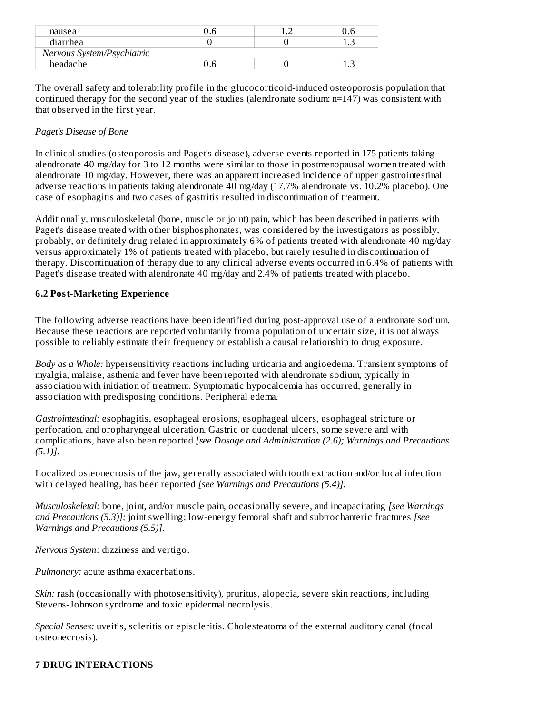| nausea                     |  |     |
|----------------------------|--|-----|
| diarrhea                   |  | ∸⊷  |
| Nervous System/Psychiatric |  |     |
| headache                   |  | ⊥.∪ |

The overall safety and tolerability profile in the glucocorticoid-induced osteoporosis population that continued therapy for the second year of the studies (alendronate sodium: n=147) was consistent with that observed in the first year.

### *Paget's Disease of Bone*

In clinical studies (osteoporosis and Paget's disease), adverse events reported in 175 patients taking alendronate 40 mg/day for 3 to 12 months were similar to those in postmenopausal women treated with alendronate 10 mg/day. However, there was an apparent increased incidence of upper gastrointestinal adverse reactions in patients taking alendronate 40 mg/day (17.7% alendronate vs. 10.2% placebo). One case of esophagitis and two cases of gastritis resulted in discontinuation of treatment.

Additionally, musculoskeletal (bone, muscle or joint) pain, which has been described in patients with Paget's disease treated with other bisphosphonates, was considered by the investigators as possibly, probably, or definitely drug related in approximately 6% of patients treated with alendronate 40 mg/day versus approximately 1% of patients treated with placebo, but rarely resulted in discontinuation of therapy. Discontinuation of therapy due to any clinical adverse events occurred in 6.4% of patients with Paget's disease treated with alendronate 40 mg/day and 2.4% of patients treated with placebo.

#### **6.2 Post-Marketing Experience**

The following adverse reactions have been identified during post-approval use of alendronate sodium. Because these reactions are reported voluntarily from a population of uncertain size, it is not always possible to reliably estimate their frequency or establish a causal relationship to drug exposure.

*Body as a Whole:* hypersensitivity reactions including urticaria and angioedema. Transient symptoms of myalgia, malaise, asthenia and fever have been reported with alendronate sodium, typically in association with initiation of treatment. Symptomatic hypocalcemia has occurred, generally in association with predisposing conditions. Peripheral edema.

*Gastrointestinal:* esophagitis, esophageal erosions, esophageal ulcers, esophageal stricture or perforation, and oropharyngeal ulceration. Gastric or duodenal ulcers, some severe and with complications, have also been reported *[see Dosage and Administration (2.6); Warnings and Precautions (5.1)]*.

Localized osteonecrosis of the jaw, generally associated with tooth extraction and/or local infection with delayed healing, has been reported *[see Warnings and Precautions (5.4)]*.

*Musculoskeletal:* bone, joint, and/or muscle pain, occasionally severe, and incapacitating *[see Warnings and Precautions (5.3)];* joint swelling; low-energy femoral shaft and subtrochanteric fractures *[see Warnings and Precautions (5.5)]*.

*Nervous System:* dizziness and vertigo.

*Pulmonary:* acute asthma exacerbations.

*Skin:* rash (occasionally with photosensitivity), pruritus, alopecia, severe skin reactions, including Stevens-Johnson syndrome and toxic epidermal necrolysis.

*Special Senses:* uveitis, scleritis or episcleritis. Cholesteatoma of the external auditory canal (focal osteonecrosis).

## **7 DRUG INTERACTIONS**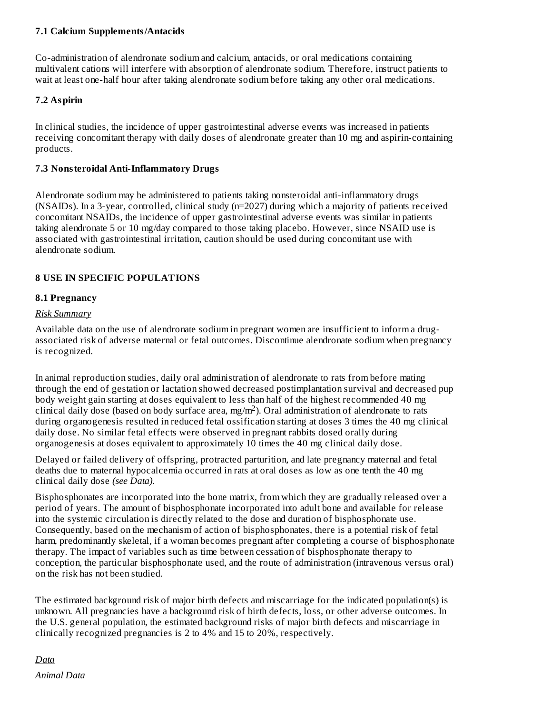#### **7.1 Calcium Supplements/Antacids**

Co-administration of alendronate sodium and calcium, antacids, or oral medications containing multivalent cations will interfere with absorption of alendronate sodium. Therefore, instruct patients to wait at least one-half hour after taking alendronate sodium before taking any other oral medications.

### **7.2 Aspirin**

In clinical studies, the incidence of upper gastrointestinal adverse events was increased in patients receiving concomitant therapy with daily doses of alendronate greater than 10 mg and aspirin-containing products.

### **7.3 Nonsteroidal Anti-Inflammatory Drugs**

Alendronate sodium may be administered to patients taking nonsteroidal anti-inflammatory drugs (NSAIDs). In a 3-year, controlled, clinical study (n=2027) during which a majority of patients received concomitant NSAIDs, the incidence of upper gastrointestinal adverse events was similar in patients taking alendronate 5 or 10 mg/day compared to those taking placebo. However, since NSAID use is associated with gastrointestinal irritation, caution should be used during concomitant use with alendronate sodium.

## **8 USE IN SPECIFIC POPULATIONS**

## **8.1 Pregnancy**

### *Risk Summary*

Available data on the use of alendronate sodium in pregnant women are insufficient to inform a drugassociated risk of adverse maternal or fetal outcomes. Discontinue alendronate sodium when pregnancy is recognized.

In animal reproduction studies, daily oral administration of alendronate to rats from before mating through the end of gestation or lactation showed decreased postimplantation survival and decreased pup body weight gain starting at doses equivalent to less than half of the highest recommended 40 mg clinical daily dose (based on body surface area, mg/m<sup>2</sup>). Oral administration of alendronate to rats during organogenesis resulted in reduced fetal ossification starting at doses 3 times the 40 mg clinical daily dose. No similar fetal effects were observed in pregnant rabbits dosed orally during organogenesis at doses equivalent to approximately 10 times the 40 mg clinical daily dose.

Delayed or failed delivery of offspring, protracted parturition, and late pregnancy maternal and fetal deaths due to maternal hypocalcemia occurred in rats at oral doses as low as one tenth the 40 mg clinical daily dose *(see Data).*

Bisphosphonates are incorporated into the bone matrix, from which they are gradually released over a period of years. The amount of bisphosphonate incorporated into adult bone and available for release into the systemic circulation is directly related to the dose and duration of bisphosphonate use. Consequently, based on the mechanism of action of bisphosphonates, there is a potential risk of fetal harm, predominantly skeletal, if a woman becomes pregnant after completing a course of bisphosphonate therapy. The impact of variables such as time between cessation of bisphosphonate therapy to conception, the particular bisphosphonate used, and the route of administration (intravenous versus oral) on the risk has not been studied.

The estimated background risk of major birth defects and miscarriage for the indicated population(s) is unknown. All pregnancies have a background risk of birth defects, loss, or other adverse outcomes. In the U.S. general population, the estimated background risks of major birth defects and miscarriage in clinically recognized pregnancies is 2 to 4% and 15 to 20%, respectively.

# *Data Animal Data*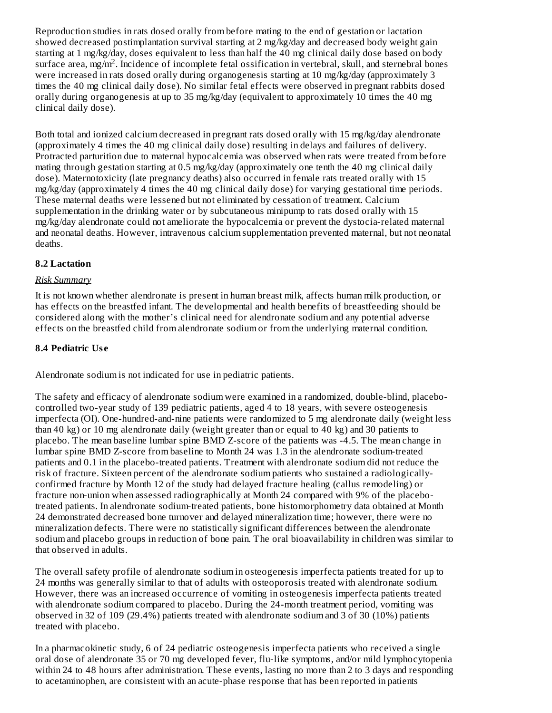Reproduction studies in rats dosed orally from before mating to the end of gestation or lactation showed decreased postimplantation survival starting at 2 mg/kg/day and decreased body weight gain starting at 1 mg/kg/day, doses equivalent to less than half the 40 mg clinical daily dose based on body surface area, mg/m<sup>2</sup>. Incidence of incomplete fetal ossification in vertebral, skull, and sternebral bones were increased in rats dosed orally during organogenesis starting at 10 mg/kg/day (approximately 3 times the 40 mg clinical daily dose). No similar fetal effects were observed in pregnant rabbits dosed orally during organogenesis at up to 35 mg/kg/day (equivalent to approximately 10 times the 40 mg clinical daily dose).

Both total and ionized calcium decreased in pregnant rats dosed orally with 15 mg/kg/day alendronate (approximately 4 times the 40 mg clinical daily dose) resulting in delays and failures of delivery. Protracted parturition due to maternal hypocalcemia was observed when rats were treated from before mating through gestation starting at 0.5 mg/kg/day (approximately one tenth the 40 mg clinical daily dose). Maternotoxicity (late pregnancy deaths) also occurred in female rats treated orally with 15 mg/kg/day (approximately 4 times the 40 mg clinical daily dose) for varying gestational time periods. These maternal deaths were lessened but not eliminated by cessation of treatment. Calcium supplementation in the drinking water or by subcutaneous minipump to rats dosed orally with 15 mg/kg/day alendronate could not ameliorate the hypocalcemia or prevent the dystocia-related maternal and neonatal deaths. However, intravenous calcium supplementation prevented maternal, but not neonatal deaths.

### **8.2 Lactation**

#### *Risk Summary*

It is not known whether alendronate is present in human breast milk, affects human milk production, or has effects on the breastfed infant. The developmental and health benefits of breastfeeding should be considered along with the mother's clinical need for alendronate sodium and any potential adverse effects on the breastfed child from alendronate sodium or from the underlying maternal condition.

#### **8.4 Pediatric Us e**

Alendronate sodium is not indicated for use in pediatric patients.

The safety and efficacy of alendronate sodium were examined in a randomized, double-blind, placebocontrolled two-year study of 139 pediatric patients, aged 4 to 18 years, with severe osteogenesis imperfecta (OI). One-hundred-and-nine patients were randomized to 5 mg alendronate daily (weight less than 40 kg) or 10 mg alendronate daily (weight greater than or equal to 40 kg) and 30 patients to placebo. The mean baseline lumbar spine BMD Z-score of the patients was -4.5. The mean change in lumbar spine BMD Z-score from baseline to Month 24 was 1.3 in the alendronate sodium-treated patients and 0.1 in the placebo-treated patients. Treatment with alendronate sodium did not reduce the risk of fracture. Sixteen percent of the alendronate sodium patients who sustained a radiologicallyconfirmed fracture by Month 12 of the study had delayed fracture healing (callus remodeling) or fracture non-union when assessed radiographically at Month 24 compared with 9% of the placebotreated patients. In alendronate sodium-treated patients, bone histomorphometry data obtained at Month 24 demonstrated decreased bone turnover and delayed mineralization time; however, there were no mineralization defects. There were no statistically significant differences between the alendronate sodium and placebo groups in reduction of bone pain. The oral bioavailability in children was similar to that observed in adults.

The overall safety profile of alendronate sodium in osteogenesis imperfecta patients treated for up to 24 months was generally similar to that of adults with osteoporosis treated with alendronate sodium. However, there was an increased occurrence of vomiting in osteogenesis imperfecta patients treated with alendronate sodium compared to placebo. During the 24-month treatment period, vomiting was observed in 32 of 109 (29.4%) patients treated with alendronate sodium and 3 of 30 (10%) patients treated with placebo.

In a pharmacokinetic study, 6 of 24 pediatric osteogenesis imperfecta patients who received a single oral dose of alendronate 35 or 70 mg developed fever, flu-like symptoms, and/or mild lymphocytopenia within 24 to 48 hours after administration. These events, lasting no more than 2 to 3 days and responding to acetaminophen, are consistent with an acute-phase response that has been reported in patients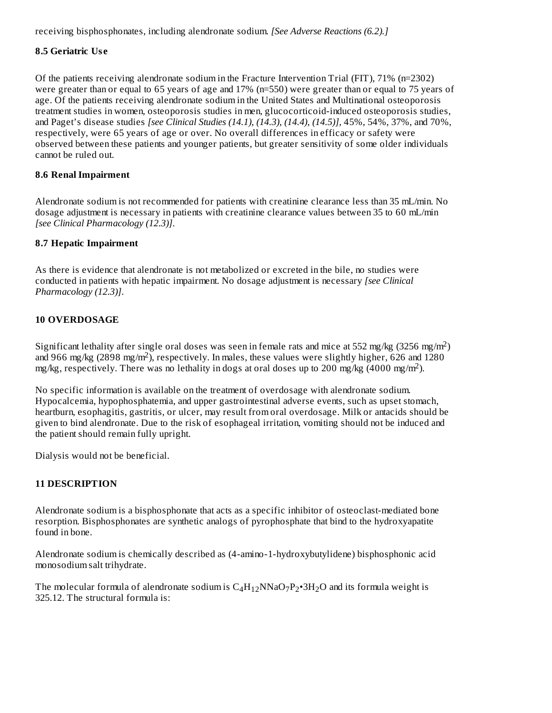receiving bisphosphonates, including alendronate sodium. *[See Adverse Reactions (6.2).]*

### **8.5 Geriatric Us e**

Of the patients receiving alendronate sodium in the Fracture Intervention Trial (FIT), 71% (n=2302) were greater than or equal to 65 years of age and 17% (n=550) were greater than or equal to 75 years of age. Of the patients receiving alendronate sodium in the United States and Multinational osteoporosis treatment studies in women, osteoporosis studies in men, glucocorticoid-induced osteoporosis studies, and Paget's disease studies *[see Clinical Studies (14.1), (14.3), (14.4), (14.5)],* 45%, 54%, 37%, and 70%, respectively, were 65 years of age or over. No overall differences in efficacy or safety were observed between these patients and younger patients, but greater sensitivity of some older individuals cannot be ruled out.

#### **8.6 Renal Impairment**

Alendronate sodium is not recommended for patients with creatinine clearance less than 35 mL/min. No dosage adjustment is necessary in patients with creatinine clearance values between 35 to 60 mL/min *[see Clinical Pharmacology (12.3)]*.

#### **8.7 Hepatic Impairment**

As there is evidence that alendronate is not metabolized or excreted in the bile, no studies were conducted in patients with hepatic impairment. No dosage adjustment is necessary *[see Clinical Pharmacology (12.3)]*.

### **10 OVERDOSAGE**

Significant lethality after single oral doses was seen in female rats and mice at 552 mg/kg (3256 mg/m<sup>2</sup>) and 966 mg/kg (2898 mg/m<sup>2</sup>), respectively. In males, these values were slightly higher, 626 and 1280 mg/kg, respectively. There was no lethality in dogs at oral doses up to 200 mg/kg  $(4000 \text{ mg/m}^2)$ .

No specific information is available on the treatment of overdosage with alendronate sodium. Hypocalcemia, hypophosphatemia, and upper gastrointestinal adverse events, such as upset stomach, heartburn, esophagitis, gastritis, or ulcer, may result from oral overdosage. Milk or antacids should be given to bind alendronate. Due to the risk of esophageal irritation, vomiting should not be induced and the patient should remain fully upright.

Dialysis would not be beneficial.

#### **11 DESCRIPTION**

Alendronate sodium is a bisphosphonate that acts as a specific inhibitor of osteoclast-mediated bone resorption. Bisphosphonates are synthetic analogs of pyrophosphate that bind to the hydroxyapatite found in bone.

Alendronate sodium is chemically described as (4-amino-1-hydroxybutylidene) bisphosphonic acid monosodium salt trihydrate.

The molecular formula of alendronate sodium is  $C_4H_{12}NNaO_7P_2•3H_2O$  and its formula weight is 325.12. The structural formula is: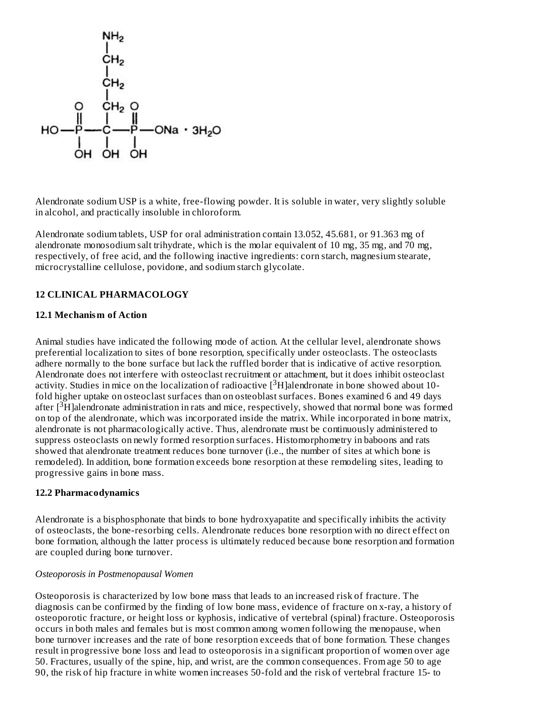

Alendronate sodium USP is a white, free-flowing powder. It is soluble in water, very slightly soluble in alcohol, and practically insoluble in chloroform.

Alendronate sodium tablets, USP for oral administration contain 13.052, 45.681, or 91.363 mg of alendronate monosodium salt trihydrate, which is the molar equivalent of 10 mg, 35 mg, and 70 mg, respectively, of free acid, and the following inactive ingredients: corn starch, magnesium stearate, microcrystalline cellulose, povidone, and sodium starch glycolate.

### **12 CLINICAL PHARMACOLOGY**

#### **12.1 Mechanism of Action**

Animal studies have indicated the following mode of action. At the cellular level, alendronate shows preferential localization to sites of bone resorption, specifically under osteoclasts. The osteoclasts adhere normally to the bone surface but lack the ruffled border that is indicative of active resorption. Alendronate does not interfere with osteoclast recruitment or attachment, but it does inhibit osteoclast activity. Studies in mice on the localization of radioactive  $[^3H]$ alendronate in bone showed about 10fold higher uptake on osteoclast surfaces than on osteoblast surfaces. Bones examined 6 and 49 days after  $[3H]$ alendronate administration in rats and mice, respectively, showed that normal bone was formed on top of the alendronate, which was incorporated inside the matrix. While incorporated in bone matrix, alendronate is not pharmacologically active. Thus, alendronate must be continuously administered to suppress osteoclasts on newly formed resorption surfaces. Histomorphometry in baboons and rats showed that alendronate treatment reduces bone turnover (i.e., the number of sites at which bone is remodeled). In addition, bone formation exceeds bone resorption at these remodeling sites, leading to progressive gains in bone mass.

#### **12.2 Pharmacodynamics**

Alendronate is a bisphosphonate that binds to bone hydroxyapatite and specifically inhibits the activity of osteoclasts, the bone-resorbing cells. Alendronate reduces bone resorption with no direct effect on bone formation, although the latter process is ultimately reduced because bone resorption and formation are coupled during bone turnover.

#### *Osteoporosis in Postmenopausal Women*

Osteoporosis is characterized by low bone mass that leads to an increased risk of fracture. The diagnosis can be confirmed by the finding of low bone mass, evidence of fracture on x-ray, a history of osteoporotic fracture, or height loss or kyphosis, indicative of vertebral (spinal) fracture. Osteoporosis occurs in both males and females but is most common among women following the menopause, when bone turnover increases and the rate of bone resorption exceeds that of bone formation. These changes result in progressive bone loss and lead to osteoporosis in a significant proportion of women over age 50. Fractures, usually of the spine, hip, and wrist, are the common consequences. From age 50 to age 90, the risk of hip fracture in white women increases 50-fold and the risk of vertebral fracture 15- to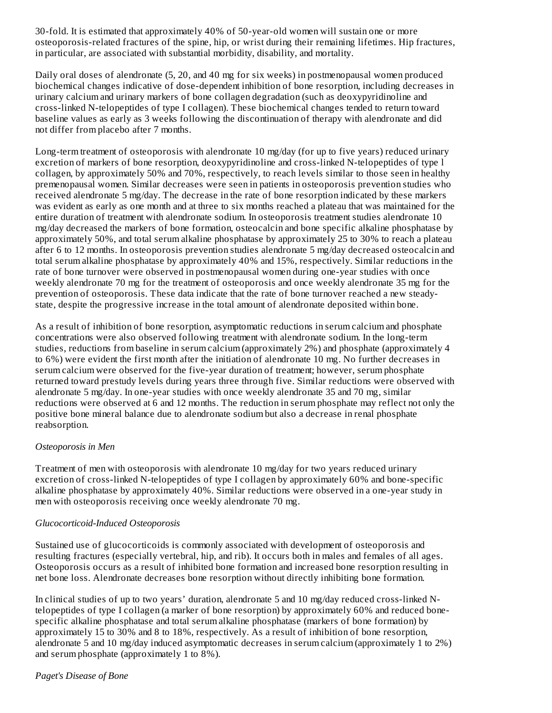30-fold. It is estimated that approximately 40% of 50-year-old women will sustain one or more osteoporosis-related fractures of the spine, hip, or wrist during their remaining lifetimes. Hip fractures, in particular, are associated with substantial morbidity, disability, and mortality.

Daily oral doses of alendronate (5, 20, and 40 mg for six weeks) in postmenopausal women produced biochemical changes indicative of dose-dependent inhibition of bone resorption, including decreases in urinary calcium and urinary markers of bone collagen degradation (such as deoxypyridinoline and cross-linked N-telopeptides of type I collagen). These biochemical changes tended to return toward baseline values as early as 3 weeks following the discontinuation of therapy with alendronate and did not differ from placebo after 7 months.

Long-term treatment of osteoporosis with alendronate 10 mg/day (for up to five years) reduced urinary excretion of markers of bone resorption, deoxypyridinoline and cross-linked N-telopeptides of type l collagen, by approximately 50% and 70%, respectively, to reach levels similar to those seen in healthy premenopausal women. Similar decreases were seen in patients in osteoporosis prevention studies who received alendronate 5 mg/day. The decrease in the rate of bone resorption indicated by these markers was evident as early as one month and at three to six months reached a plateau that was maintained for the entire duration of treatment with alendronate sodium. In osteoporosis treatment studies alendronate 10 mg/day decreased the markers of bone formation, osteocalcin and bone specific alkaline phosphatase by approximately 50%, and total serum alkaline phosphatase by approximately 25 to 30% to reach a plateau after 6 to 12 months. In osteoporosis prevention studies alendronate 5 mg/day decreased osteocalcin and total serum alkaline phosphatase by approximately 40% and 15%, respectively. Similar reductions in the rate of bone turnover were observed in postmenopausal women during one-year studies with once weekly alendronate 70 mg for the treatment of osteoporosis and once weekly alendronate 35 mg for the prevention of osteoporosis. These data indicate that the rate of bone turnover reached a new steadystate, despite the progressive increase in the total amount of alendronate deposited within bone.

As a result of inhibition of bone resorption, asymptomatic reductions in serum calcium and phosphate concentrations were also observed following treatment with alendronate sodium. In the long-term studies, reductions from baseline in serum calcium (approximately 2%) and phosphate (approximately 4 to 6%) were evident the first month after the initiation of alendronate 10 mg. No further decreases in serum calcium were observed for the five-year duration of treatment; however, serum phosphate returned toward prestudy levels during years three through five. Similar reductions were observed with alendronate 5 mg/day. In one-year studies with once weekly alendronate 35 and 70 mg, similar reductions were observed at 6 and 12 months. The reduction in serum phosphate may reflect not only the positive bone mineral balance due to alendronate sodium but also a decrease in renal phosphate reabsorption.

#### *Osteoporosis in Men*

Treatment of men with osteoporosis with alendronate 10 mg/day for two years reduced urinary excretion of cross-linked N-telopeptides of type I collagen by approximately 60% and bone-specific alkaline phosphatase by approximately 40%. Similar reductions were observed in a one-year study in men with osteoporosis receiving once weekly alendronate 70 mg.

#### *Glucocorticoid-Induced Osteoporosis*

Sustained use of glucocorticoids is commonly associated with development of osteoporosis and resulting fractures (especially vertebral, hip, and rib). It occurs both in males and females of all ages. Osteoporosis occurs as a result of inhibited bone formation and increased bone resorption resulting in net bone loss. Alendronate decreases bone resorption without directly inhibiting bone formation.

In clinical studies of up to two years' duration, alendronate 5 and 10 mg/day reduced cross-linked Ntelopeptides of type I collagen (a marker of bone resorption) by approximately 60% and reduced bonespecific alkaline phosphatase and total serum alkaline phosphatase (markers of bone formation) by approximately 15 to 30% and 8 to 18%, respectively. As a result of inhibition of bone resorption, alendronate 5 and 10 mg/day induced asymptomatic decreases in serum calcium (approximately 1 to 2%) and serum phosphate (approximately 1 to 8%).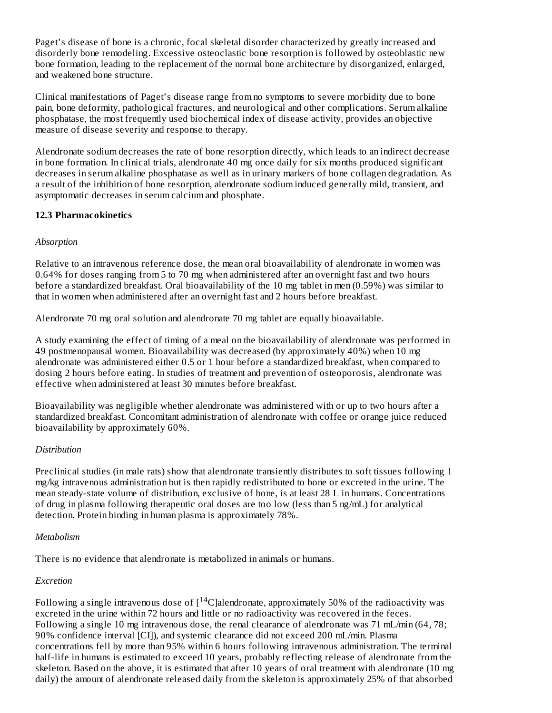Paget's disease of bone is a chronic, focal skeletal disorder characterized by greatly increased and disorderly bone remodeling. Excessive osteoclastic bone resorption is followed by osteoblastic new bone formation, leading to the replacement of the normal bone architecture by disorganized, enlarged, and weakened bone structure.

Clinical manifestations of Paget's disease range from no symptoms to severe morbidity due to bone pain, bone deformity, pathological fractures, and neurological and other complications. Serum alkaline phosphatase, the most frequently used biochemical index of disease activity, provides an objective measure of disease severity and response to therapy.

Alendronate sodium decreases the rate of bone resorption directly, which leads to an indirect decrease in bone formation. In clinical trials, alendronate 40 mg once daily for six months produced significant decreases in serum alkaline phosphatase as well as in urinary markers of bone collagen degradation. As a result of the inhibition of bone resorption, alendronate sodium induced generally mild, transient, and asymptomatic decreases in serum calcium and phosphate.

#### **12.3 Pharmacokinetics**

### *Absorption*

Relative to an intravenous reference dose, the mean oral bioavailability of alendronate in women was 0.64% for doses ranging from 5 to 70 mg when administered after an overnight fast and two hours before a standardized breakfast. Oral bioavailability of the 10 mg tablet in men (0.59%) was similar to that in women when administered after an overnight fast and 2 hours before breakfast.

Alendronate 70 mg oral solution and alendronate 70 mg tablet are equally bioavailable.

A study examining the effect of timing of a meal on the bioavailability of alendronate was performed in 49 postmenopausal women. Bioavailability was decreased (by approximately 40%) when 10 mg alendronate was administered either 0.5 or 1 hour before a standardized breakfast, when compared to dosing 2 hours before eating. In studies of treatment and prevention of osteoporosis, alendronate was effective when administered at least 30 minutes before breakfast.

Bioavailability was negligible whether alendronate was administered with or up to two hours after a standardized breakfast. Concomitant administration of alendronate with coffee or orange juice reduced bioavailability by approximately 60%.

#### *Distribution*

Preclinical studies (in male rats) show that alendronate transiently distributes to soft tissues following 1 mg/kg intravenous administration but is then rapidly redistributed to bone or excreted in the urine*.* The mean steady-state volume of distribution, exclusive of bone, is at least 28 L in humans*.* Concentrations of drug in plasma following therapeutic oral doses are too low (less than 5 ng/mL) for analytical detection. Protein binding in human plasma is approximately 78%.

#### *Metabolism*

There is no evidence that alendronate is metabolized in animals or humans.

## *Excretion*

Following a single intravenous dose of  $[$ <sup>14</sup>C]alendronate, approximately 50% of the radioactivity was excreted in the urine within 72 hours and little or no radioactivity was recovered in the feces. Following a single 10 mg intravenous dose, the renal clearance of alendronate was 71 mL/min (64, 78; 90% confidence interval [CI]), and systemic clearance did not exceed 200 mL/min. Plasma concentrations fell by more than 95% within 6 hours following intravenous administration. The terminal half-life in humans is estimated to exceed 10 years, probably reflecting release of alendronate from the skeleton. Based on the above, it is estimated that after 10 years of oral treatment with alendronate (10 mg daily) the amount of alendronate released daily from the skeleton is approximately 25% of that absorbed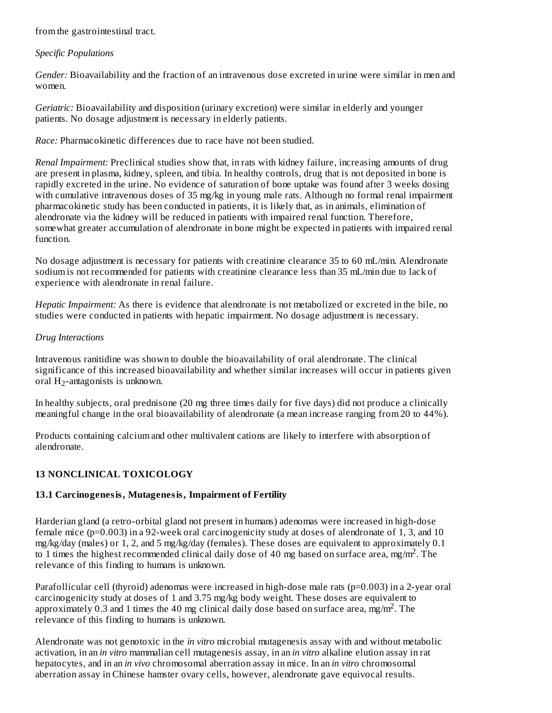from the gastrointestinal tract.

#### *Specific Populations*

*Gender:* Bioavailability and the fraction of an intravenous dose excreted in urine were similar in men and women.

*Geriatric:* Bioavailability and disposition (urinary excretion) were similar in elderly and younger patients. No dosage adjustment is necessary in elderly patients*.*

*Race:* Pharmacokinetic differences due to race have not been studied.

*Renal Impairment:* Preclinical studies show that, in rats with kidney failure, increasing amounts of drug are present in plasma, kidney, spleen, and tibia. In healthy controls, drug that is not deposited in bone is rapidly excreted in the urine. No evidence of saturation of bone uptake was found after 3 weeks dosing with cumulative intravenous doses of 35 mg/kg in young male rats. Although no formal renal impairment pharmacokinetic study has been conducted in patients, it is likely that, as in animals, elimination of alendronate via the kidney will be reduced in patients with impaired renal function. Therefore, somewhat greater accumulation of alendronate in bone might be expected in patients with impaired renal function.

No dosage adjustment is necessary for patients with creatinine clearance 35 to 60 mL/min. Alendronate sodium is not recommended for patients with creatinine clearance less than 35 mL/min due to lack of experience with alendronate in renal failure.

*Hepatic Impairment:* As there is evidence that alendronate is not metabolized or excreted in the bile, no studies were conducted in patients with hepatic impairment. No dosage adjustment is necessary.

### *Drug Interactions*

Intravenous ranitidine was shown to double the bioavailability of oral alendronate. The clinical significance of this increased bioavailability and whether similar increases will occur in patients given oral  $H_2$ -antagonists is unknown.

In healthy subjects, oral prednisone (20 mg three times daily for five days) did not produce a clinically meaningful change in the oral bioavailability of alendronate (a mean increase ranging from 20 to 44%).

Products containing calcium and other multivalent cations are likely to interfere with absorption of alendronate.

## **13 NONCLINICAL TOXICOLOGY**

## **13.1 Carcinogenesis, Mutagenesis, Impairment of Fertility**

Harderian gland (a retro-orbital gland not present in humans) adenomas were increased in high-dose female mice (p=0.003) in a 92-week oral carcinogenicity study at doses of alendronate of 1, 3, and 10 mg/kg/day (males) or 1, 2, and 5 mg/kg/day (females). These doses are equivalent to approximately 0.1 to 1 times the highest recommended clinical daily dose of 40 mg based on surface area, mg/m<sup>2</sup>. The relevance of this finding to humans is unknown.

Parafollicular cell (thyroid) adenomas were increased in high-dose male rats (p=0.003) in a 2-year oral carcinogenicity study at doses of 1 and 3.75 mg/kg body weight. These doses are equivalent to approximately 0.3 and 1 times the 40 mg clinical daily dose based on surface area, mg/m<sup>2</sup>. The relevance of this finding to humans is unknown.

Alendronate was not genotoxic in the *in vitro* microbial mutagenesis assay with and without metabolic activation, in an *in vitro* mammalian cell mutagenesis assay, in an *in vitro* alkaline elution assay in rat hepatocytes, and in an *in vivo* chromosomal aberration assay in mice. In an *in vitro* chromosomal aberration assay in Chinese hamster ovary cells, however, alendronate gave equivocal results.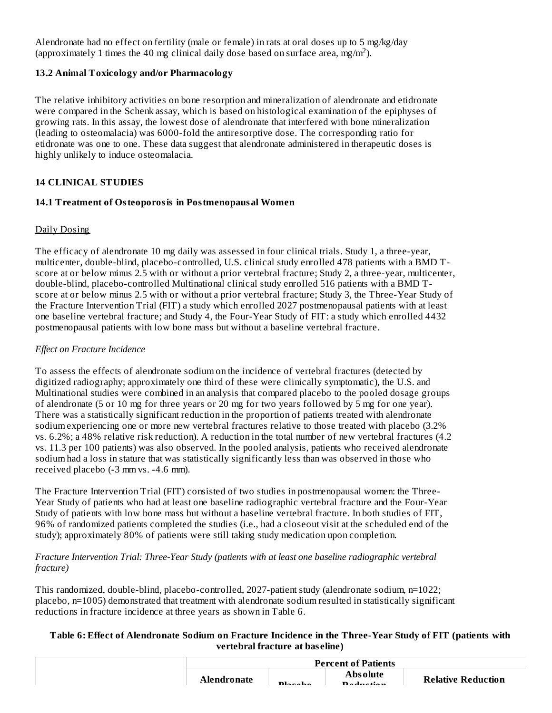Alendronate had no effect on fertility (male or female) in rats at oral doses up to 5 mg/kg/day (approximately 1 times the 40 mg clinical daily dose based on surface area, mg/m<sup>2</sup>).

### **13.2 Animal Toxicology and/or Pharmacology**

The relative inhibitory activities on bone resorption and mineralization of alendronate and etidronate were compared in the Schenk assay, which is based on histological examination of the epiphyses of growing rats. In this assay, the lowest dose of alendronate that interfered with bone mineralization (leading to osteomalacia) was 6000-fold the antiresorptive dose. The corresponding ratio for etidronate was one to one. These data suggest that alendronate administered in therapeutic doses is highly unlikely to induce osteomalacia.

### **14 CLINICAL STUDIES**

### **14.1 Treatment of Osteoporosis in Postmenopausal Women**

### Daily Dosing

The efficacy of alendronate 10 mg daily was assessed in four clinical trials. Study 1, a three-year, multicenter, double-blind, placebo-controlled, U.S. clinical study enrolled 478 patients with a BMD Tscore at or below minus 2.5 with or without a prior vertebral fracture; Study 2, a three-year, multicenter, double-blind, placebo-controlled Multinational clinical study enrolled 516 patients with a BMD Tscore at or below minus 2.5 with or without a prior vertebral fracture; Study 3, the Three-Year Study of the Fracture Intervention Trial (FIT) a study which enrolled 2027 postmenopausal patients with at least one baseline vertebral fracture; and Study 4, the Four-Year Study of FIT: a study which enrolled 4432 postmenopausal patients with low bone mass but without a baseline vertebral fracture.

### *Effect on Fracture Incidence*

To assess the effects of alendronate sodium on the incidence of vertebral fractures (detected by digitized radiography; approximately one third of these were clinically symptomatic), the U.S. and Multinational studies were combined in an analysis that compared placebo to the pooled dosage groups of alendronate (5 or 10 mg for three years or 20 mg for two years followed by 5 mg for one year). There was a statistically significant reduction in the proportion of patients treated with alendronate sodium experiencing one or more new vertebral fractures relative to those treated with placebo (3.2% vs. 6.2%; a 48% relative risk reduction). A reduction in the total number of new vertebral fractures (4.2 vs. 11.3 per 100 patients) was also observed. In the pooled analysis, patients who received alendronate sodium had a loss in stature that was statistically significantly less than was observed in those who received placebo (-3 mm vs. -4.6 mm).

The Fracture Intervention Trial (FIT) consisted of two studies in postmenopausal women: the Three-Year Study of patients who had at least one baseline radiographic vertebral fracture and the Four-Year Study of patients with low bone mass but without a baseline vertebral fracture. In both studies of FIT, 96% of randomized patients completed the studies (i.e., had a closeout visit at the scheduled end of the study); approximately 80% of patients were still taking study medication upon completion.

*Fracture Intervention Trial: Three-Year Study (patients with at least one baseline radiographic vertebral fracture)*

This randomized, double-blind, placebo-controlled, 2027-patient study (alendronate sodium, n=1022; placebo, n=1005) demonstrated that treatment with alendronate sodium resulted in statistically significant reductions in fracture incidence at three years as shown in Table 6.

### **Table 6: Effect of Alendronate Sodium on Fracture Incidence in the Three-Year Study of FIT (patients with vertebral fracture at bas eline)**

| <b>Percent of Patients</b> |                |                        |                           |
|----------------------------|----------------|------------------------|---------------------------|
| Alendronate                | <b>Dlaceho</b> | Abs olute<br>Doduction | <b>Relative Reduction</b> |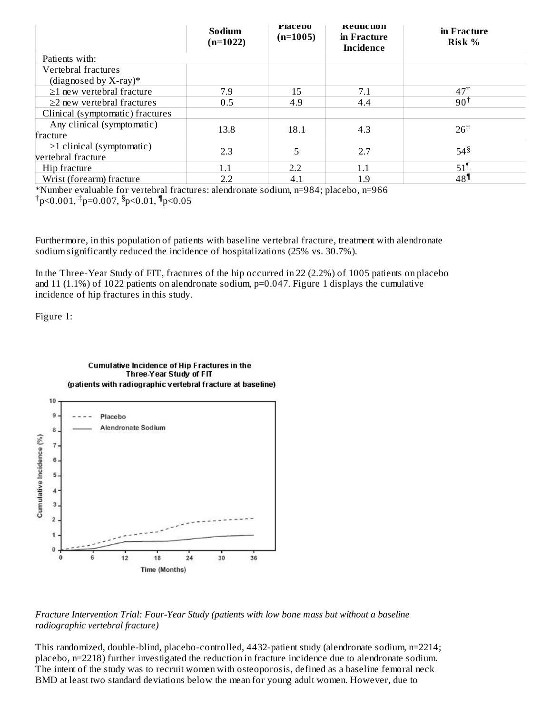|                                  | Sodium<br>$(n=1022)$ | riaceno<br>$(n=1005)$ | <b>Keuucuon</b><br>in Fracture<br><b>Incidence</b> | in Fracture<br>$Risk\%$ |
|----------------------------------|----------------------|-----------------------|----------------------------------------------------|-------------------------|
| Patients with:                   |                      |                       |                                                    |                         |
| Vertebral fractures              |                      |                       |                                                    |                         |
| (diagnosed by $X$ -ray)*         |                      |                       |                                                    |                         |
| $\geq$ 1 new vertebral fracture  | 7.9                  | 15                    | 7.1                                                | 47 <sup>†</sup>         |
| $\geq$ 2 new vertebral fractures | 0.5                  | 4.9                   | 4.4                                                | $90^{\dagger}$          |
| Clinical (symptomatic) fractures |                      |                       |                                                    |                         |
| Any clinical (symptomatic)       | 13.8                 | 18.1                  | 4.3                                                | $26^{\ddagger}$         |
| fracture                         |                      |                       |                                                    |                         |
| $\geq$ 1 clinical (symptomatic)  | 2.3                  | 5                     | 2.7                                                | $54^{\frac{5}{2}}$      |
| vertebral fracture               |                      |                       |                                                    |                         |
| Hip fracture                     | 1.1                  | 2.2                   | 1.1                                                | $51$ <sup>1</sup>       |
| Wrist (forearm) fracture         | 2.2                  | 4.1                   | 1.9                                                | 48 <sup>1</sup>         |

\*Number evaluable for vertebral fractures: alendronate sodium, n=984; placebo, n=966  $\text{p}$  < 0.001,  $\text{p}$  = 0.007,  $\text{p}$  < 0.01,  $\text{p}$  < 0.05

Furthermore, in this population of patients with baseline vertebral fracture, treatment with alendronate sodium significantly reduced the incidence of hospitalizations (25% vs. 30.7%).

In the Three-Year Study of FIT, fractures of the hip occurred in 22 (2.2%) of 1005 patients on placebo and 11 (1.1%) of 1022 patients on alendronate sodium, p=0.047. Figure 1 displays the cumulative incidence of hip fractures in this study.

Figure 1:

#### Cumulative Incidence of Hip Fractures in the Three-Year Study of FIT (patients with radiographic vertebral fracture at baseline)





This randomized, double-blind, placebo-controlled, 4432-patient study (alendronate sodium, n=2214; placebo, n=2218) further investigated the reduction in fracture incidence due to alendronate sodium. The intent of the study was to recruit women with osteoporosis, defined as a baseline femoral neck BMD at least two standard deviations below the mean for young adult women. However, due to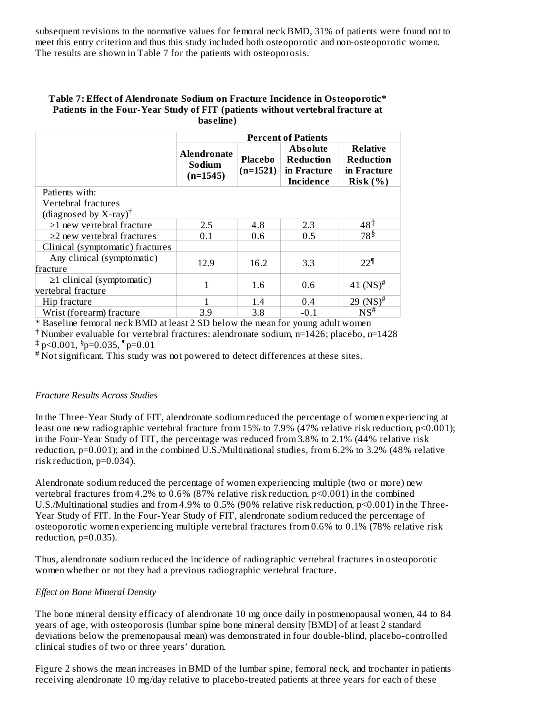subsequent revisions to the normative values for femoral neck BMD, 31% of patients were found not to meet this entry criterion and thus this study included both osteoporotic and non-osteoporotic women. The results are shown in Table 7 for the patients with osteoporosis.

| Table 7: Effect of Alendronate Sodium on Fracture Incidence in Osteoporotic*   |
|--------------------------------------------------------------------------------|
| Patients in the Four-Year Study of FIT (patients without vertebral fracture at |
| bas eline)                                                                     |

|                                                       | <b>Percent of Patients</b>                 |                              |                                                                        |                                                               |  |
|-------------------------------------------------------|--------------------------------------------|------------------------------|------------------------------------------------------------------------|---------------------------------------------------------------|--|
|                                                       | <b>Alendronate</b><br>Sodium<br>$(n=1545)$ | <b>Placebo</b><br>$(n=1521)$ | <b>Absolute</b><br><b>Reduction</b><br>in Fracture<br><b>Incidence</b> | <b>Relative</b><br><b>Reduction</b><br>in Fracture<br>Risk(%) |  |
| Patients with:                                        |                                            |                              |                                                                        |                                                               |  |
| Vertebral fractures                                   |                                            |                              |                                                                        |                                                               |  |
| (diagnosed by X-ray) <sup>†</sup>                     |                                            |                              |                                                                        |                                                               |  |
| $\geq$ 1 new vertebral fracture                       | 2.5                                        | 4.8                          | 2.3                                                                    | $48^{\ddagger}$                                               |  |
| $\geq$ new vertebral fractures                        | 0.1                                        | 0.6                          | 0.5                                                                    | 78 <sup>§</sup>                                               |  |
| Clinical (symptomatic) fractures                      |                                            |                              |                                                                        |                                                               |  |
| Any clinical (symptomatic)<br>fracture                | 12.9                                       | 16.2                         | 3.3                                                                    | 22 <sup>1</sup>                                               |  |
| $\geq$ 1 clinical (symptomatic)<br>vertebral fracture | 1                                          | 1.6                          | 0.6                                                                    | 41 $(NS)$ <sup>#</sup>                                        |  |
| Hip fracture                                          |                                            | 1.4                          | 0.4                                                                    | 29 (NS) <sup>#</sup>                                          |  |
| Wrist (forearm) fracture                              | 3.9                                        | 3.8                          | $-0.1$                                                                 | $NS^{\#}$                                                     |  |

\* Baseline femoral neck BMD at least 2 SD below the mean for young adult women

 $\dagger$  Number evaluable for vertebral fractures: alendronate sodium, n=1426; placebo, n=1428  $\frac{1}{2}$  p<0.001, §p=0.035, ¶p=0.01

 $*$  Not significant. This study was not powered to detect differences at these sites.

#### *Fracture Results Across Studies*

In the Three-Year Study of FIT, alendronate sodium reduced the percentage of women experiencing at least one new radiographic vertebral fracture from 15% to 7.9% (47% relative risk reduction, p<0.001); in the Four-Year Study of FIT, the percentage was reduced from 3.8% to 2.1% (44% relative risk reduction, p=0.001); and in the combined U.S./Multinational studies, from 6.2% to 3.2% (48% relative risk reduction, p=0.034).

Alendronate sodium reduced the percentage of women experiencing multiple (two or more) new vertebral fractures from 4.2% to  $0.6\%$  (87% relative risk reduction,  $p<0.001$ ) in the combined U.S./Multinational studies and from 4.9% to 0.5% (90% relative risk reduction, p<0.001) in the Three-Year Study of FIT. In the Four-Year Study of FIT, alendronate sodium reduced the percentage of osteoporotic women experiencing multiple vertebral fractures from 0.6% to 0.1% (78% relative risk reduction, p=0.035).

Thus, alendronate sodium reduced the incidence of radiographic vertebral fractures in osteoporotic women whether or not they had a previous radiographic vertebral fracture.

#### *Effect on Bone Mineral Density*

The bone mineral density efficacy of alendronate 10 mg once daily in postmenopausal women, 44 to 84 years of age, with osteoporosis (lumbar spine bone mineral density [BMD] of at least 2 standard deviations below the premenopausal mean) was demonstrated in four double-blind, placebo-controlled clinical studies of two or three years' duration.

Figure 2 shows the mean increases in BMD of the lumbar spine, femoral neck, and trochanter in patients receiving alendronate 10 mg/day relative to placebo-treated patients at three years for each of these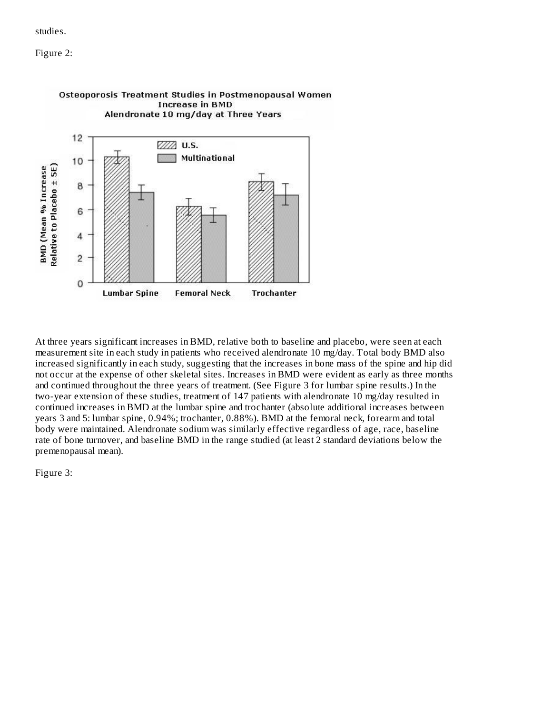Figure 2:



At three years significant increases in BMD, relative both to baseline and placebo, were seen at each measurement site in each study in patients who received alendronate 10 mg/day. Total body BMD also increased significantly in each study, suggesting that the increases in bone mass of the spine and hip did not occur at the expense of other skeletal sites. Increases in BMD were evident as early as three months and continued throughout the three years of treatment. (See Figure 3 for lumbar spine results.) In the two-year extension of these studies, treatment of 147 patients with alendronate 10 mg/day resulted in continued increases in BMD at the lumbar spine and trochanter (absolute additional increases between years 3 and 5: lumbar spine, 0.94%; trochanter, 0.88%). BMD at the femoral neck, forearm and total body were maintained. Alendronate sodium was similarly effective regardless of age, race, baseline rate of bone turnover, and baseline BMD in the range studied (at least 2 standard deviations below the premenopausal mean).

Figure 3: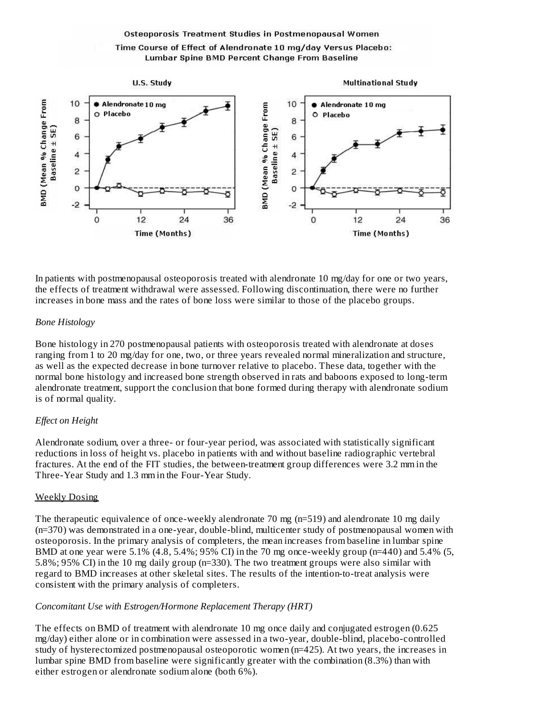#### Osteoporosis Treatment Studies in Postmenopausal Women

Time Course of Effect of Alendronate 10 mg/day Versus Placebo: Lumbar Spine BMD Percent Change From Baseline



In patients with postmenopausal osteoporosis treated with alendronate 10 mg/day for one or two years, the effects of treatment withdrawal were assessed. Following discontinuation, there were no further increases in bone mass and the rates of bone loss were similar to those of the placebo groups.

#### *Bone Histology*

Bone histology in 270 postmenopausal patients with osteoporosis treated with alendronate at doses ranging from 1 to 20 mg/day for one, two, or three years revealed normal mineralization and structure, as well as the expected decrease in bone turnover relative to placebo. These data, together with the normal bone histology and increased bone strength observed in rats and baboons exposed to long-term alendronate treatment, support the conclusion that bone formed during therapy with alendronate sodium is of normal quality.

#### *Effect on Height*

Alendronate sodium, over a three- or four-year period, was associated with statistically significant reductions in loss of height vs. placebo in patients with and without baseline radiographic vertebral fractures. At the end of the FIT studies, the between-treatment group differences were 3.2 mm in the Three-Year Study and 1.3 mm in the Four-Year Study.

#### Weekly Dosing

The therapeutic equivalence of once-weekly alendronate 70 mg (n=519) and alendronate 10 mg daily (n=370) was demonstrated in a one-year, double-blind, multicenter study of postmenopausal women with osteoporosis. In the primary analysis of completers, the mean increases from baseline in lumbar spine BMD at one year were 5.1% (4.8, 5.4%; 95% CI) in the 70 mg once-weekly group (n=440) and 5.4% (5, 5.8%; 95% CI) in the 10 mg daily group (n=330). The two treatment groups were also similar with regard to BMD increases at other skeletal sites. The results of the intention-to-treat analysis were consistent with the primary analysis of completers.

#### *Concomitant Use with Estrogen/Hormone Replacement Therapy (HRT)*

The effects on BMD of treatment with alendronate 10 mg once daily and conjugated estrogen (0.625 mg/day) either alone or in combination were assessed in a two-year, double-blind, placebo-controlled study of hysterectomized postmenopausal osteoporotic women (n=425). At two years, the increases in lumbar spine BMD from baseline were significantly greater with the combination (8.3%) than with either estrogen or alendronate sodium alone (both 6%).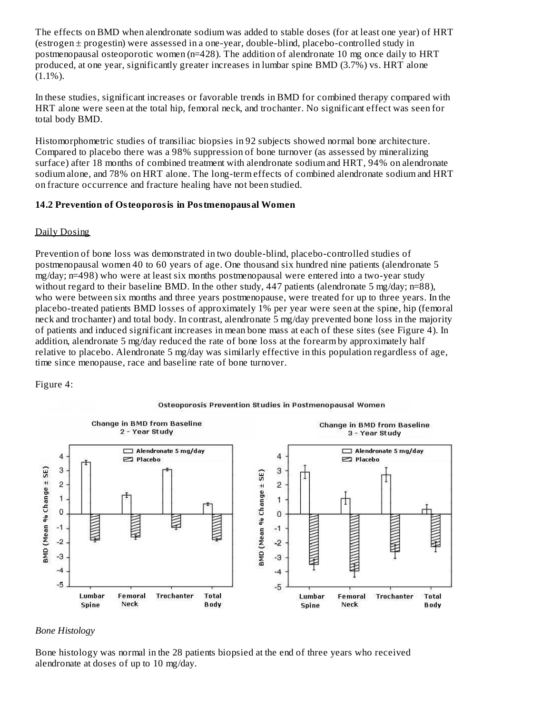The effects on BMD when alendronate sodium was added to stable doses (for at least one year) of HRT (estrogen ± progestin) were assessed in a one-year, double-blind, placebo-controlled study in postmenopausal osteoporotic women (n=428). The addition of alendronate 10 mg once daily to HRT produced, at one year, significantly greater increases in lumbar spine BMD (3.7%) vs. HRT alone  $(1.1\%)$ .

In these studies, significant increases or favorable trends in BMD for combined therapy compared with HRT alone were seen at the total hip, femoral neck, and trochanter. No significant effect was seen for total body BMD.

Histomorphometric studies of transiliac biopsies in 92 subjects showed normal bone architecture. Compared to placebo there was a 98% suppression of bone turnover (as assessed by mineralizing surface) after 18 months of combined treatment with alendronate sodium and HRT, 94% on alendronate sodium alone, and 78% on HRT alone. The long-term effects of combined alendronate sodium and HRT on fracture occurrence and fracture healing have not been studied.

#### **14.2 Prevention of Osteoporosis in Postmenopausal Women**

#### Daily Dosing

Prevention of bone loss was demonstrated in two double-blind, placebo-controlled studies of postmenopausal women 40 to 60 years of age. One thousand six hundred nine patients (alendronate 5 mg/day; n=498) who were at least six months postmenopausal were entered into a two-year study without regard to their baseline BMD. In the other study, 447 patients (alendronate 5 mg/day; n=88), who were between six months and three years postmenopause, were treated for up to three years. In the placebo-treated patients BMD losses of approximately 1% per year were seen at the spine, hip (femoral neck and trochanter) and total body. In contrast, alendronate 5 mg/day prevented bone loss in the majority of patients and induced significant increases in mean bone mass at each of these sites (see Figure 4). In addition, alendronate 5 mg/day reduced the rate of bone loss at the forearm by approximately half relative to placebo. Alendronate 5 mg/day was similarly effective in this population regardless of age, time since menopause, race and baseline rate of bone turnover.

#### Figure 4:



#### Osteoporosis Prevention Studies in Postmenopausal Women

## *Bone Histology*

Bone histology was normal in the 28 patients biopsied at the end of three years who received alendronate at doses of up to 10 mg/day.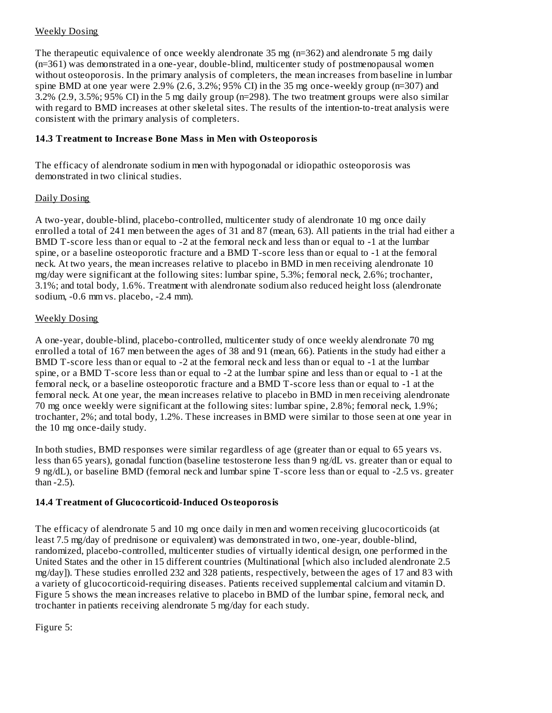### Weekly Dosing

The therapeutic equivalence of once weekly alendronate 35 mg (n=362) and alendronate 5 mg daily (n=361) was demonstrated in a one-year, double-blind, multicenter study of postmenopausal women without osteoporosis. In the primary analysis of completers, the mean increases from baseline in lumbar spine BMD at one year were  $2.9\%$  (2.6, 3.2%; 95% CI) in the 35 mg once-weekly group (n=307) and 3.2% (2.9, 3.5%; 95% CI) in the 5 mg daily group (n=298). The two treatment groups were also similar with regard to BMD increases at other skeletal sites. The results of the intention-to-treat analysis were consistent with the primary analysis of completers.

### **14.3 Treatment to Increas e Bone Mass in Men with Osteoporosis**

The efficacy of alendronate sodium in men with hypogonadal or idiopathic osteoporosis was demonstrated in two clinical studies.

#### Daily Dosing

A two-year, double-blind, placebo-controlled, multicenter study of alendronate 10 mg once daily enrolled a total of 241 men between the ages of 31 and 87 (mean, 63). All patients in the trial had either a BMD T-score less than or equal to -2 at the femoral neck and less than or equal to -1 at the lumbar spine, or a baseline osteoporotic fracture and a BMD T-score less than or equal to -1 at the femoral neck. At two years, the mean increases relative to placebo in BMD in men receiving alendronate 10 mg/day were significant at the following sites: lumbar spine, 5.3%; femoral neck, 2.6%; trochanter, 3.1%; and total body, 1.6%. Treatment with alendronate sodium also reduced height loss (alendronate sodium, -0.6 mm vs. placebo, -2.4 mm).

#### Weekly Dosing

A one-year, double-blind, placebo-controlled, multicenter study of once weekly alendronate 70 mg enrolled a total of 167 men between the ages of 38 and 91 (mean, 66). Patients in the study had either a BMD T-score less than or equal to -2 at the femoral neck and less than or equal to -1 at the lumbar spine, or a BMD T-score less than or equal to -2 at the lumbar spine and less than or equal to -1 at the femoral neck, or a baseline osteoporotic fracture and a BMD T-score less than or equal to -1 at the femoral neck. At one year, the mean increases relative to placebo in BMD in men receiving alendronate 70 mg once weekly were significant at the following sites: lumbar spine, 2.8%; femoral neck, 1.9%; trochanter, 2%; and total body, 1.2%. These increases in BMD were similar to those seen at one year in the 10 mg once-daily study.

In both studies, BMD responses were similar regardless of age (greater than or equal to 65 years vs. less than 65 years), gonadal function (baseline testosterone less than 9 ng/dL vs. greater than or equal to 9 ng/dL), or baseline BMD (femoral neck and lumbar spine T-score less than or equal to -2.5 vs. greater than -2.5).

## **14.4 Treatment of Glucocorticoid-Induced Osteoporosis**

The efficacy of alendronate 5 and 10 mg once daily in men and women receiving glucocorticoids (at least 7.5 mg/day of prednisone or equivalent) was demonstrated in two, one-year, double-blind, randomized, placebo-controlled, multicenter studies of virtually identical design, one performed in the United States and the other in 15 different countries (Multinational [which also included alendronate 2.5 mg/day]). These studies enrolled 232 and 328 patients, respectively, between the ages of 17 and 83 with a variety of glucocorticoid-requiring diseases. Patients received supplemental calcium and vitamin D. Figure 5 shows the mean increases relative to placebo in BMD of the lumbar spine, femoral neck, and trochanter in patients receiving alendronate 5 mg/day for each study.

Figure 5: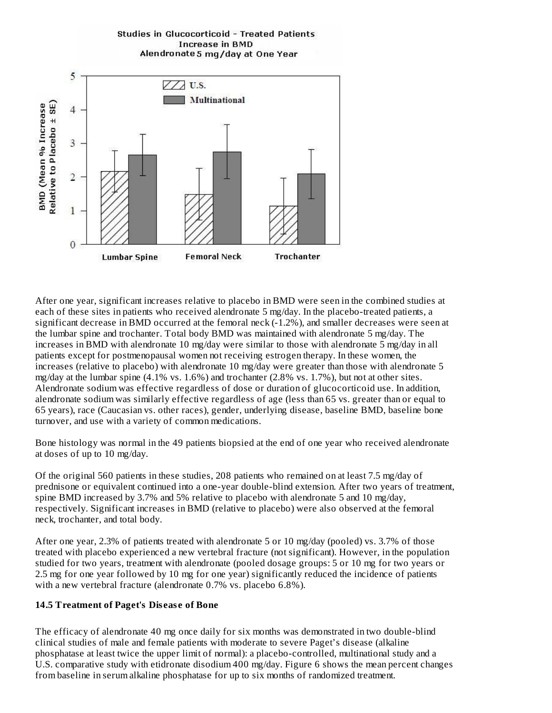#### **Studies in Glucocorticoid - Treated Patients Increase in BMD** Alendronate 5 mg/day at One Year



After one year, significant increases relative to placebo in BMD were seen in the combined studies at each of these sites in patients who received alendronate 5 mg/day. In the placebo-treated patients, a significant decrease in BMD occurred at the femoral neck (-1.2%), and smaller decreases were seen at the lumbar spine and trochanter. Total body BMD was maintained with alendronate 5 mg/day. The increases in BMD with alendronate 10 mg/day were similar to those with alendronate 5 mg/day in all patients except for postmenopausal women not receiving estrogen therapy. In these women, the increases (relative to placebo) with alendronate 10 mg/day were greater than those with alendronate 5 mg/day at the lumbar spine (4.1% vs. 1.6%) and trochanter (2.8% vs. 1.7%), but not at other sites. Alendronate sodium was effective regardless of dose or duration of glucocorticoid use. In addition, alendronate sodium was similarly effective regardless of age (less than 65 vs. greater than or equal to 65 years), race (Caucasian vs. other races), gender, underlying disease, baseline BMD, baseline bone turnover, and use with a variety of common medications.

Bone histology was normal in the 49 patients biopsied at the end of one year who received alendronate at doses of up to 10 mg/day.

Of the original 560 patients in these studies, 208 patients who remained on at least 7.5 mg/day of prednisone or equivalent continued into a one-year double-blind extension. After two years of treatment, spine BMD increased by 3.7% and 5% relative to placebo with alendronate 5 and 10 mg/day, respectively. Significant increases in BMD (relative to placebo) were also observed at the femoral neck, trochanter, and total body.

After one year, 2.3% of patients treated with alendronate 5 or 10 mg/day (pooled) vs. 3.7% of those treated with placebo experienced a new vertebral fracture (not significant). However, in the population studied for two years, treatment with alendronate (pooled dosage groups: 5 or 10 mg for two years or 2.5 mg for one year followed by 10 mg for one year) significantly reduced the incidence of patients with a new vertebral fracture (alendronate 0.7% vs. placebo 6.8%).

#### **14.5 Treatment of Paget's Dis eas e of Bone**

The efficacy of alendronate 40 mg once daily for six months was demonstrated in two double-blind clinical studies of male and female patients with moderate to severe Paget's disease (alkaline phosphatase at least twice the upper limit of normal): a placebo-controlled, multinational study and a U.S. comparative study with etidronate disodium 400 mg/day. Figure 6 shows the mean percent changes from baseline in serum alkaline phosphatase for up to six months of randomized treatment.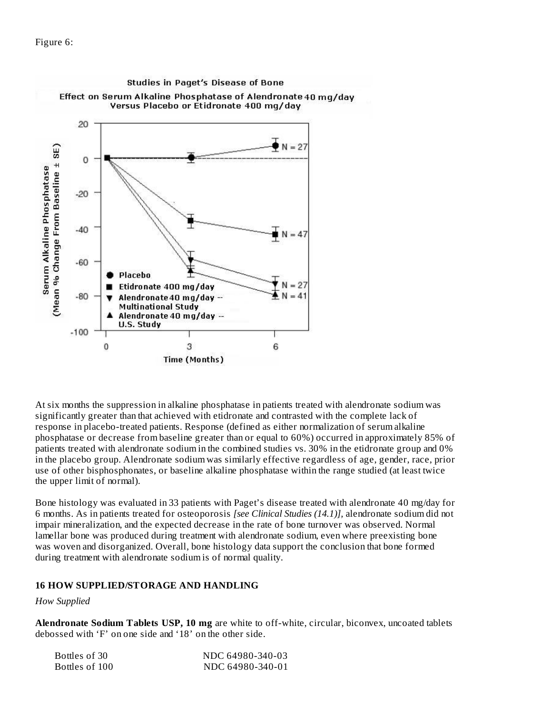

Effect on Serum Alkaline Phosphatase of Alendronate 40 mg/day

At six months the suppression in alkaline phosphatase in patients treated with alendronate sodium was significantly greater than that achieved with etidronate and contrasted with the complete lack of response in placebo-treated patients. Response (defined as either normalization of serum alkaline phosphatase or decrease from baseline greater than or equal to 60%) occurred in approximately 85% of patients treated with alendronate sodium in the combined studies vs. 30% in the etidronate group and 0% in the placebo group. Alendronate sodium was similarly effective regardless of age, gender, race, prior use of other bisphosphonates, or baseline alkaline phosphatase within the range studied (at least twice the upper limit of normal).

Bone histology was evaluated in 33 patients with Paget's disease treated with alendronate 40 mg/day for 6 months. As in patients treated for osteoporosis *[see Clinical Studies (14.1)],* alendronate sodium did not impair mineralization, and the expected decrease in the rate of bone turnover was observed. Normal lamellar bone was produced during treatment with alendronate sodium, even where preexisting bone was woven and disorganized. Overall, bone histology data support the conclusion that bone formed during treatment with alendronate sodium is of normal quality.

#### **16 HOW SUPPLIED/STORAGE AND HANDLING**

*How Supplied*

**Alendronate Sodium Tablets USP, 10 mg** are white to off-white, circular, biconvex, uncoated tablets debossed with 'F' on one side and '18' on the other side.

| Bottles of 30  | NDC 64980-340-03 |
|----------------|------------------|
| Bottles of 100 | NDC 64980-340-01 |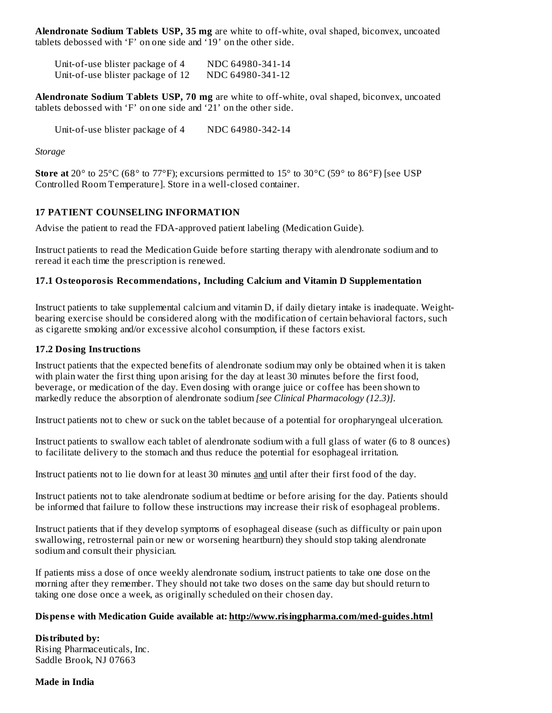**Alendronate Sodium Tablets USP, 35 mg** are white to off-white, oval shaped, biconvex, uncoated tablets debossed with 'F' on one side and '19' on the other side.

| Unit-of-use blister package of 4  | NDC 64980-341-14 |
|-----------------------------------|------------------|
| Unit-of-use blister package of 12 | NDC 64980-341-12 |

**Alendronate Sodium Tablets USP, 70 mg** are white to off-white, oval shaped, biconvex, uncoated tablets debossed with 'F' on one side and '21' on the other side.

Unit-of-use blister package of 4 NDC 64980-342-14

#### *Storage*

**Store at** 20° to 25°C (68° to 77°F); excursions permitted to 15° to 30°C (59° to 86°F) [see USP Controlled Room Temperature]. Store in a well-closed container.

#### **17 PATIENT COUNSELING INFORMATION**

Advise the patient to read the FDA-approved patient labeling (Medication Guide).

Instruct patients to read the Medication Guide before starting therapy with alendronate sodium and to reread it each time the prescription is renewed.

#### **17.1 Osteoporosis Recommendations, Including Calcium and Vitamin D Supplementation**

Instruct patients to take supplemental calcium and vitamin D, if daily dietary intake is inadequate. Weightbearing exercise should be considered along with the modification of certain behavioral factors, such as cigarette smoking and/or excessive alcohol consumption, if these factors exist.

#### **17.2 Dosing Instructions**

Instruct patients that the expected benefits of alendronate sodium may only be obtained when it is taken with plain water the first thing upon arising for the day at least 30 minutes before the first food, beverage, or medication of the day. Even dosing with orange juice or coffee has been shown to markedly reduce the absorption of alendronate sodium *[see Clinical Pharmacology (12.3)]*.

Instruct patients not to chew or suck on the tablet because of a potential for oropharyngeal ulceration.

Instruct patients to swallow each tablet of alendronate sodium with a full glass of water (6 to 8 ounces) to facilitate delivery to the stomach and thus reduce the potential for esophageal irritation.

Instruct patients not to lie down for at least 30 minutes and until after their first food of the day.

Instruct patients not to take alendronate sodium at bedtime or before arising for the day. Patients should be informed that failure to follow these instructions may increase their risk of esophageal problems.

Instruct patients that if they develop symptoms of esophageal disease (such as difficulty or pain upon swallowing, retrosternal pain or new or worsening heartburn) they should stop taking alendronate sodium and consult their physician.

If patients miss a dose of once weekly alendronate sodium, instruct patients to take one dose on the morning after they remember. They should not take two doses on the same day but should return to taking one dose once a week, as originally scheduled on their chosen day.

#### **Dispens e with Medication Guide available at: http://www.risingpharma.com/med-guides.html**

**Distributed by:** Rising Pharmaceuticals, Inc. Saddle Brook, NJ 07663

#### **Made in India**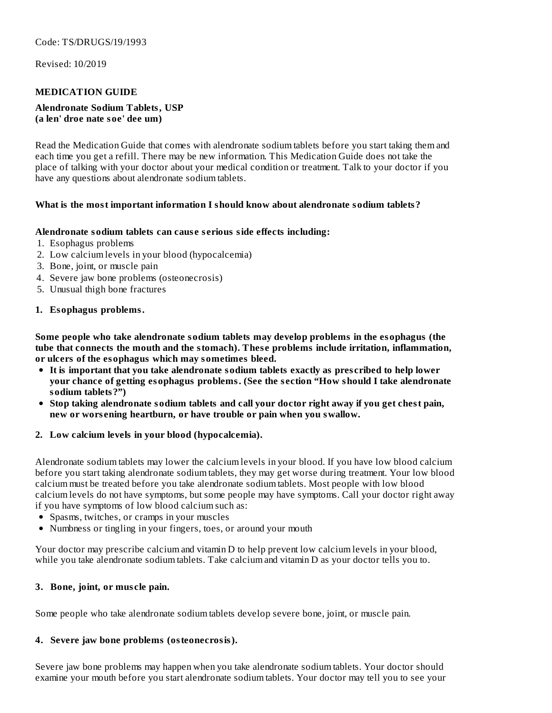#### Code: TS/DRUGS/19/1993

Revised: 10/2019

#### **MEDICATION GUIDE**

#### **Alendronate Sodium Tablets, USP (a len' droe nate soe' dee um)**

Read the Medication Guide that comes with alendronate sodium tablets before you start taking them and each time you get a refill. There may be new information. This Medication Guide does not take the place of talking with your doctor about your medical condition or treatment. Talk to your doctor if you have any questions about alendronate sodium tablets.

#### **What is the most important information I should know about alendronate sodium tablets?**

#### **Alendronate sodium tablets can caus e s erious side effects including:**

- 1. Esophagus problems
- 2. Low calcium levels in your blood (hypocalcemia)
- 3. Bone, joint, or muscle pain
- 4. Severe jaw bone problems (osteonecrosis)
- 5. Unusual thigh bone fractures

#### **1. Esophagus problems.**

**Some people who take alendronate sodium tablets may develop problems in the esophagus (the tube that connects the mouth and the stomach). Thes e problems include irritation, inflammation, or ulcers of the esophagus which may sometimes bleed.**

- **It is important that you take alendronate sodium tablets exactly as pres cribed to help lower your chance of getting esophagus problems. (See the s ection "How should I take alendronate sodium tablets?")**
- **Stop taking alendronate sodium tablets and call your doctor right away if you get chest pain, new or wors ening heartburn, or have trouble or pain when you swallow.**
- **2. Low calcium levels in your blood (hypocalcemia).**

Alendronate sodium tablets may lower the calcium levels in your blood. If you have low blood calcium before you start taking alendronate sodium tablets, they may get worse during treatment. Your low blood calcium must be treated before you take alendronate sodium tablets. Most people with low blood calcium levels do not have symptoms, but some people may have symptoms. Call your doctor right away if you have symptoms of low blood calcium such as:

- Spasms, twitches, or cramps in your muscles
- Numbness or tingling in your fingers, toes, or around your mouth

Your doctor may prescribe calcium and vitamin D to help prevent low calcium levels in your blood, while you take alendronate sodium tablets. Take calcium and vitamin D as your doctor tells you to.

#### **3. Bone, joint, or mus cle pain.**

Some people who take alendronate sodium tablets develop severe bone, joint, or muscle pain.

#### **4. Severe jaw bone problems (osteonecrosis).**

Severe jaw bone problems may happen when you take alendronate sodium tablets. Your doctor should examine your mouth before you start alendronate sodium tablets. Your doctor may tell you to see your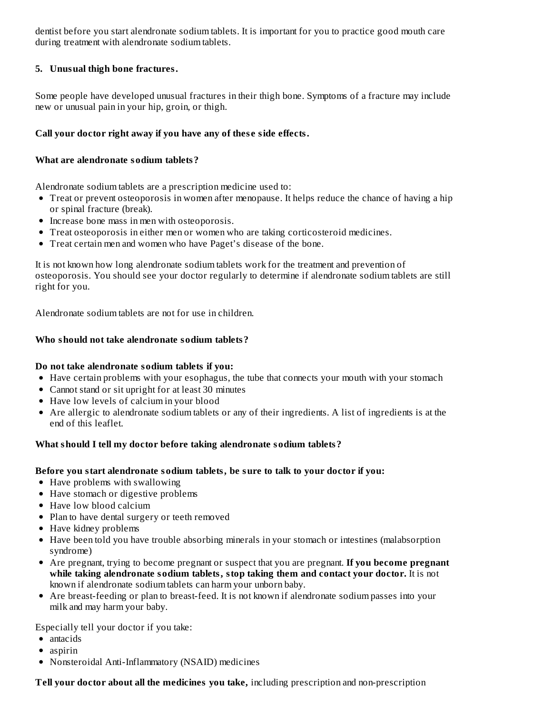dentist before you start alendronate sodium tablets. It is important for you to practice good mouth care during treatment with alendronate sodium tablets.

## **5. Unusual thigh bone fractures.**

Some people have developed unusual fractures in their thigh bone. Symptoms of a fracture may include new or unusual pain in your hip, groin, or thigh.

### **Call your doctor right away if you have any of thes e side effects.**

#### **What are alendronate sodium tablets?**

Alendronate sodium tablets are a prescription medicine used to:

- Treat or prevent osteoporosis in women after menopause. It helps reduce the chance of having a hip or spinal fracture (break).
- Increase bone mass in men with osteoporosis.
- Treat osteoporosis in either men or women who are taking corticosteroid medicines.
- Treat certain men and women who have Paget's disease of the bone.

It is not known how long alendronate sodium tablets work for the treatment and prevention of osteoporosis. You should see your doctor regularly to determine if alendronate sodium tablets are still right for you.

Alendronate sodium tablets are not for use in children.

### **Who should not take alendronate sodium tablets?**

#### **Do not take alendronate sodium tablets if you:**

- Have certain problems with your esophagus, the tube that connects your mouth with your stomach
- Cannot stand or sit upright for at least 30 minutes
- Have low levels of calcium in your blood
- Are allergic to alendronate sodium tablets or any of their ingredients. A list of ingredients is at the end of this leaflet.

#### **What should I tell my doctor before taking alendronate sodium tablets?**

#### **Before you start alendronate sodium tablets, be sure to talk to your doctor if you:**

- Have problems with swallowing
- Have stomach or digestive problems
- Have low blood calcium
- Plan to have dental surgery or teeth removed
- Have kidney problems
- Have been told you have trouble absorbing minerals in your stomach or intestines (malabsorption syndrome)
- Are pregnant, trying to become pregnant or suspect that you are pregnant. **If you become pregnant while taking alendronate sodium tablets, stop taking them and contact your doctor.** It is not known if alendronate sodium tablets can harm your unborn baby.
- Are breast-feeding or plan to breast-feed. It is not known if alendronate sodium passes into your milk and may harm your baby.

Especially tell your doctor if you take:

- antacids
- aspirin
- Nonsteroidal Anti-Inflammatory (NSAID) medicines

**Tell your doctor about all the medicines you take,** including prescription and non-prescription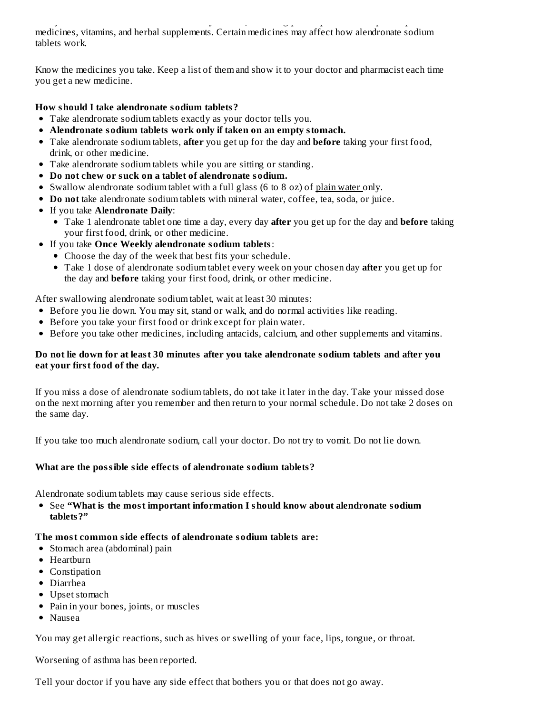**Tell your doctor about all the medicines you take,** including prescription and non-prescription medicines, vitamins, and herbal supplements. Certain medicines may affect how alendronate sodium tablets work.

Know the medicines you take. Keep a list of them and show it to your doctor and pharmacist each time you get a new medicine.

### **How should I take alendronate sodium tablets?**

- Take alendronate sodium tablets exactly as your doctor tells you.
- **Alendronate sodium tablets work only if taken on an empty stomach.**
- Take alendronate sodium tablets, **after** you get up for the day and **before** taking your first food, drink, or other medicine.
- Take alendronate sodium tablets while you are sitting or standing.
- **Do not chew or suck on a tablet of alendronate sodium.**
- Swallow alendronate sodium tablet with a full glass (6 to 8 oz) of plain water only.
- **Do not** take alendronate sodium tablets with mineral water, coffee, tea, soda, or juice.
- If you take **Alendronate Daily**:
	- Take 1 alendronate tablet one time a day, every day **after** you get up for the day and **before** taking your first food, drink, or other medicine.
- If you take **Once Weekly alendronate sodium tablets**:
	- Choose the day of the week that best fits your schedule.
	- Take 1 dose of alendronate sodium tablet every week on your chosen day **after** you get up for the day and **before** taking your first food, drink, or other medicine.

After swallowing alendronate sodium tablet, wait at least 30 minutes:

- Before you lie down. You may sit, stand or walk, and do normal activities like reading.
- Before you take your first food or drink except for plain water.
- Before you take other medicines, including antacids, calcium, and other supplements and vitamins.

### **Do not lie down for at least 30 minutes after you take alendronate sodium tablets and after you eat your first food of the day.**

If you miss a dose of alendronate sodium tablets, do not take it later in the day. Take your missed dose on the next morning after you remember and then return to your normal schedule. Do not take 2 doses on the same day.

If you take too much alendronate sodium, call your doctor. Do not try to vomit. Do not lie down.

## **What are the possible side effects of alendronate sodium tablets?**

Alendronate sodium tablets may cause serious side effects.

See **"What is the most important information I should know about alendronate sodium tablets?"**

#### **The most common side effects of alendronate sodium tablets are:**

- Stomach area (abdominal) pain
- Heartburn
- Constipation
- Diarrhea
- Upset stomach
- Pain in your bones, joints, or muscles
- Nausea

You may get allergic reactions, such as hives or swelling of your face, lips, tongue, or throat.

Worsening of asthma has been reported.

Tell your doctor if you have any side effect that bothers you or that does not go away.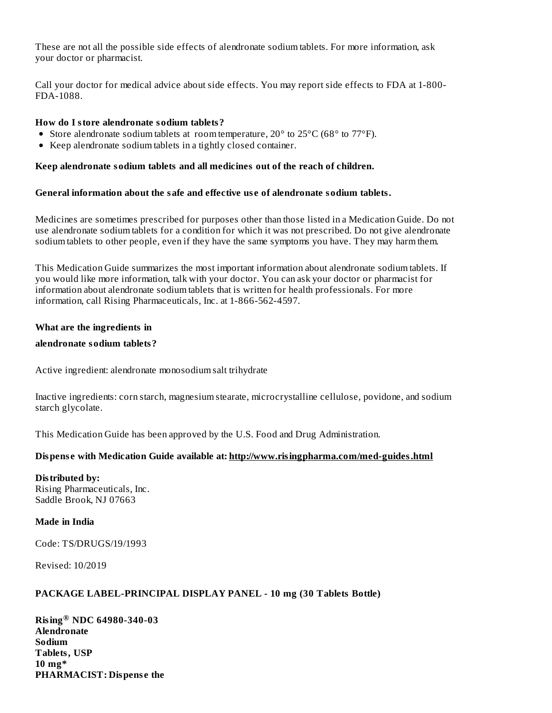These are not all the possible side effects of alendronate sodium tablets. For more information, ask your doctor or pharmacist.

Call your doctor for medical advice about side effects. You may report side effects to FDA at 1-800- FDA-1088.

#### **How do I store alendronate sodium tablets?**

- Store alendronate sodium tablets at room temperature, 20° to 25°C (68° to 77°F).
- Keep alendronate sodium tablets in a tightly closed container.

#### **Keep alendronate sodium tablets and all medicines out of the reach of children.**

#### **General information about the safe and effective us e of alendronate sodium tablets.**

Medicines are sometimes prescribed for purposes other than those listed in a Medication Guide. Do not use alendronate sodium tablets for a condition for which it was not prescribed. Do not give alendronate sodium tablets to other people, even if they have the same symptoms you have. They may harm them.

This Medication Guide summarizes the most important information about alendronate sodium tablets. If you would like more information, talk with your doctor. You can ask your doctor or pharmacist for information about alendronate sodium tablets that is written for health professionals. For more information, call Rising Pharmaceuticals, Inc. at 1-866-562-4597.

#### **What are the ingredients in**

#### **alendronate sodium tablets?**

Active ingredient: alendronate monosodium salt trihydrate

Inactive ingredients: corn starch, magnesium stearate, microcrystalline cellulose, povidone, and sodium starch glycolate.

This Medication Guide has been approved by the U.S. Food and Drug Administration.

#### **Dispens e with Medication Guide available at: http://www.risingpharma.com/med-guides.html**

**Distributed by:** Rising Pharmaceuticals, Inc. Saddle Brook, NJ 07663

#### **Made in India**

Code: TS/DRUGS/19/1993

Revised: 10/2019

#### **PACKAGE LABEL-PRINCIPAL DISPLAY PANEL - 10 mg (30 Tablets Bottle)**

**Rising NDC 64980-340-03 ®Alendronate Sodium Tablets, USP 10 mg\* PHARMACIST: Dispens e the**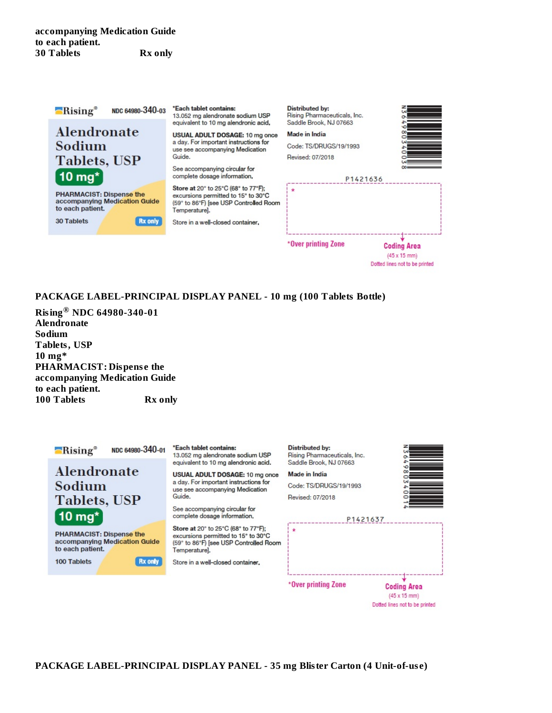**accompanying Medication Guide to each patient. 30 Tablets Rx only**



#### **PACKAGE LABEL-PRINCIPAL DISPLAY PANEL - 10 mg (100 Tablets Bottle)**

**Rising NDC 64980-340-01 ® Alendronate Sodium Tablets, USP 10 mg\* PHARMACIST: Dispens e the accompanying Medication Guide to each patient. 100 Tablets Rx only**

\*Each tablet contains: **Distributed by:**  $Rising^{\circ}$ NDC 64980-340-01 13.052 mg alendronate sodium USP Rising Pharmaceuticals, Inc. Saddle Brook, NJ 07663 equivalent to 10 mg alendronic acid. **Alendronate** USUAL ADULT DOSAGE: 10 mg once Made in India a day. For important instructions for Sodium Code: TS/DRUGS/19/1993 use see accompanying Medication Guide. Revised: 07/2018 **Tablets, USP** See accompanying circular for  $10 \text{ mg}^*$ complete dosage information. P1421637 Store at 20° to 25°C (68° to 77°F); **PHARMACIST: Dispense the** excursions permitted to 15° to 30°C accompanying Medication Guide (59° to 86°F) [see USP Controlled Room to each patient. Temperaturel. 100 Tablets **Rx** only Store in a well-closed container. \*Over printing Zone **Coding Area** 

 $(45 \times 15 \text{ mm})$ Dotted lines not to be printed

Dotted lines not to be printed

**PACKAGE LABEL-PRINCIPAL DISPLAY PANEL - 35 mg Blister Carton (4 Unit-of-us e)**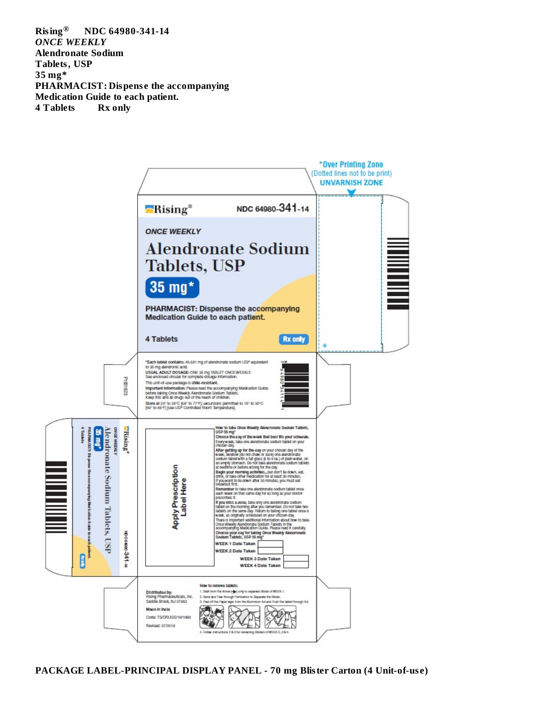**Rising NDC 64980-341-14** *ONCE WEEKLY* **Alendronate Sodium Tablets, USP 35 mg\* PHARMACIST: Dispens e the accompanying Medication Guide to each patient. 4 Tablets Rx only ®**



**PACKAGE LABEL-PRINCIPAL DISPLAY PANEL - 70 mg Blister Carton (4 Unit-of-us e)**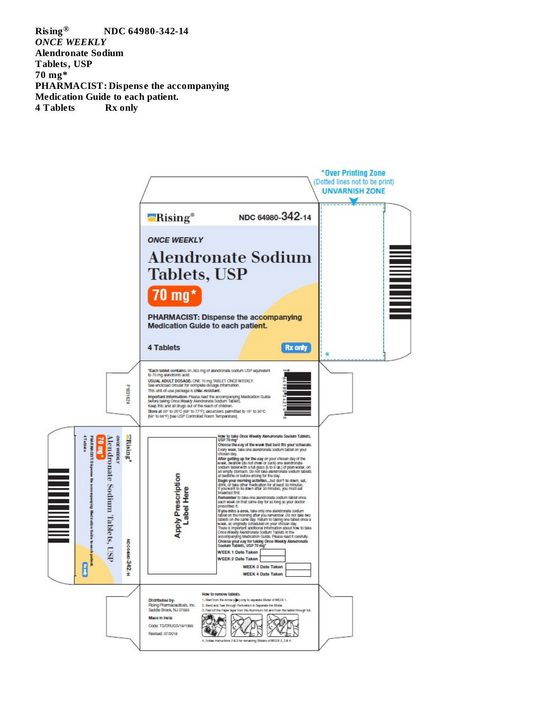**Rising NDC 64980-342-14** *ONCE WEEKLY* **Alendronate Sodium Tablets, USP 70 mg\* PHARMACIST: Dispens e the accompanying Medication Guide to each patient. 4 Tablets Rx only ®**

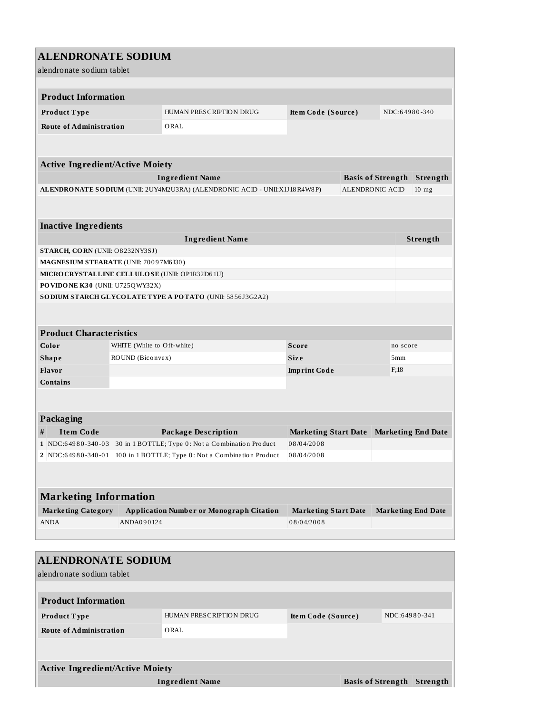|   | <b>ALENDRONATE SODIUM</b>                                |                            |                                                                           |                             |                          |      |                           |
|---|----------------------------------------------------------|----------------------------|---------------------------------------------------------------------------|-----------------------------|--------------------------|------|---------------------------|
|   | alendronate sodium tablet                                |                            |                                                                           |                             |                          |      |                           |
|   |                                                          |                            |                                                                           |                             |                          |      |                           |
|   | <b>Product Information</b>                               |                            |                                                                           |                             |                          |      |                           |
|   | Product Type                                             |                            | HUMAN PRESCRIPTION DRUG                                                   | Item Code (Source)          |                          |      | NDC:64980-340             |
|   | <b>Route of Administration</b>                           |                            | ORAL                                                                      |                             |                          |      |                           |
|   |                                                          |                            |                                                                           |                             |                          |      |                           |
|   | <b>Active Ingredient/Active Moiety</b>                   |                            |                                                                           |                             |                          |      |                           |
|   |                                                          |                            | <b>Ingredient Name</b>                                                    |                             | <b>Basis of Strength</b> |      | Strength                  |
|   |                                                          |                            | ALENDRONATE SODIUM (UNII: 2UY4M2U3RA) (ALENDRONIC ACID - UNII:X1J18R4W8P) |                             | ALENDRONIC ACID          |      | $10$ mg                   |
|   |                                                          |                            |                                                                           |                             |                          |      |                           |
|   | <b>Inactive Ingredients</b>                              |                            |                                                                           |                             |                          |      |                           |
|   |                                                          |                            | <b>Ingredient Name</b>                                                    |                             |                          |      | Strength                  |
|   | STARCH, CORN (UNII: O8232NY3SJ)                          |                            |                                                                           |                             |                          |      |                           |
|   | MAGNESIUM STEARATE (UNII: 70097M6I30)                    |                            |                                                                           |                             |                          |      |                           |
|   | MICRO CRYSTALLINE CELLULO SE (UNII: OP1R32D61U)          |                            |                                                                           |                             |                          |      |                           |
|   | PO VIDO NE K30 (UNII: U725QWY32X)                        |                            |                                                                           |                             |                          |      |                           |
|   | SODIUM STARCH GLYCOLATE TYPE A POTATO (UNII: 5856J3G2A2) |                            |                                                                           |                             |                          |      |                           |
|   |                                                          |                            |                                                                           |                             |                          |      |                           |
|   | <b>Product Characteristics</b>                           |                            |                                                                           |                             |                          |      |                           |
|   | Color                                                    | WHITE (White to Off-white) |                                                                           | <b>Score</b>                |                          |      | no score                  |
|   | <b>Shape</b>                                             | ROUND (Biconvex)           |                                                                           | <b>Size</b>                 |                          | 5mm  |                           |
|   | Flavor                                                   |                            |                                                                           | <b>Imprint Code</b>         |                          | F;18 |                           |
|   | <b>Contains</b>                                          |                            |                                                                           |                             |                          |      |                           |
|   |                                                          |                            |                                                                           |                             |                          |      |                           |
|   | <b>Packaging</b>                                         |                            |                                                                           |                             |                          |      |                           |
| # | <b>Item Code</b>                                         |                            | <b>Package Description</b>                                                | <b>Marketing Start Date</b> |                          |      | <b>Marketing End Date</b> |
|   |                                                          |                            | 1 NDC:64980-340-03 30 in 1 BOTTLE; Type 0: Not a Combination Product      | 08/04/2008                  |                          |      |                           |
|   |                                                          |                            | 2 NDC:64980-340-01 100 in 1 BOTTLE; Type 0: Not a Combination Product     | 08/04/2008                  |                          |      |                           |
|   |                                                          |                            |                                                                           |                             |                          |      |                           |
|   | <b>Marketing Information</b>                             |                            |                                                                           |                             |                          |      |                           |
|   | <b>Marketing Category</b>                                |                            | <b>Application Number or Monograph Citation</b>                           | <b>Marketing Start Date</b> |                          |      | <b>Marketing End Date</b> |
|   | <b>ANDA</b>                                              | ANDA090124                 |                                                                           | 08/04/2008                  |                          |      |                           |
|   |                                                          |                            |                                                                           |                             |                          |      |                           |
|   |                                                          |                            |                                                                           |                             |                          |      |                           |

| <b>ALENDRONATE SODIUM</b>              |                         |                          |  |               |  |  |  |
|----------------------------------------|-------------------------|--------------------------|--|---------------|--|--|--|
| alendronate sodium tablet              |                         |                          |  |               |  |  |  |
|                                        |                         |                          |  |               |  |  |  |
| <b>Product Information</b>             |                         |                          |  |               |  |  |  |
| Product Type                           | HUMAN PRESCRIPTION DRUG | Item Code (Source)       |  | NDC:64980-341 |  |  |  |
| <b>Route of Administration</b>         | ORAL                    |                          |  |               |  |  |  |
|                                        |                         |                          |  |               |  |  |  |
|                                        |                         |                          |  |               |  |  |  |
| <b>Active Ingredient/Active Moiety</b> |                         |                          |  |               |  |  |  |
| <b>Ingredient Name</b>                 |                         | <b>Basis of Strength</b> |  | Strength      |  |  |  |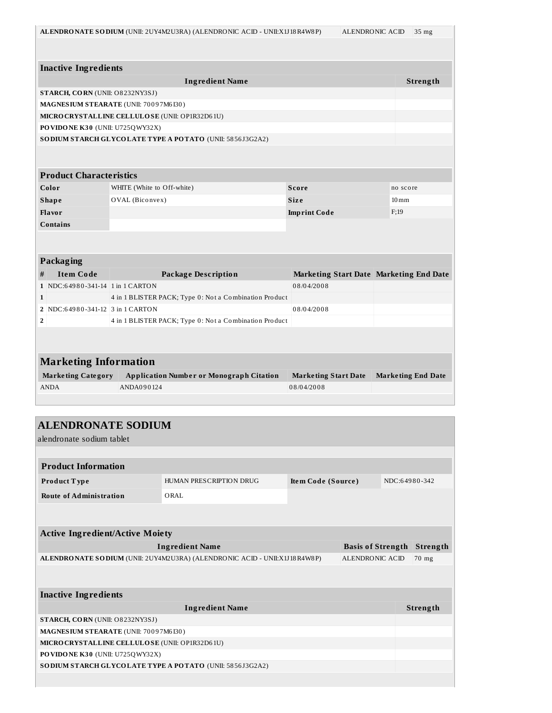| <b>Inactive Ingredients</b>                              |          |
|----------------------------------------------------------|----------|
| <b>Ingredient Name</b>                                   | Strength |
| <b>STARCH, CORN (UNII: O8232NY3SJ)</b>                   |          |
| MAGNESIUM STEARATE (UNII: 70097M6130)                    |          |
| MICRO CRYSTALLINE CELLULOSE (UNII: OP1R32D61U)           |          |
| PO VIDO NE K30 (UNII: U725QWY32X)                        |          |
| SODIUM STARCH GLYCOLATE TYPE A POTATO (UNII: 5856J3G2A2) |          |
|                                                          |          |
|                                                          |          |
| <b>Product Characteristics</b>                           |          |

| Color        | WHITE (White to Off-white) | Score               | no score           |
|--------------|----------------------------|---------------------|--------------------|
| <b>Shape</b> | OVAL (Biconvex)            | <b>Size</b>         | $10 \,\mathrm{mm}$ |
| Flavor       |                            | <b>Imprint Code</b> | F:19               |
| Contains     |                            |                     |                    |

|   | Packaging                        |                                                        |                                         |                           |  |  |  |  |
|---|----------------------------------|--------------------------------------------------------|-----------------------------------------|---------------------------|--|--|--|--|
| # | <b>Item Code</b>                 | <b>Package Description</b>                             | Marketing Start Date Marketing End Date |                           |  |  |  |  |
|   | 1 NDC:64980-341-14 1 in 1 CARTON |                                                        | 08/04/2008                              |                           |  |  |  |  |
|   |                                  | 4 in 1 BLISTER PACK; Type 0: Not a Combination Product |                                         |                           |  |  |  |  |
|   | 2 NDC:64980-341-12 3 in 1 CARTON |                                                        | 08/04/2008                              |                           |  |  |  |  |
| 2 |                                  | 4 in 1 BLISTER PACK; Type 0: Not a Combination Product |                                         |                           |  |  |  |  |
|   |                                  |                                                        |                                         |                           |  |  |  |  |
|   |                                  |                                                        |                                         |                           |  |  |  |  |
|   | <b>Marketing Information</b>     |                                                        |                                         |                           |  |  |  |  |
|   | <b>Marketing Category</b>        | <b>Application Number or Monograph Citation</b>        | <b>Marketing Start Date</b>             | <b>Marketing End Date</b> |  |  |  |  |
|   | ANDA                             | ANDA090124                                             | 08/04/2008                              |                           |  |  |  |  |

| <b>ALENDRONATE SODIUM</b>                                                                    |                         |                    |  |               |          |
|----------------------------------------------------------------------------------------------|-------------------------|--------------------|--|---------------|----------|
| alendronate sodium tablet                                                                    |                         |                    |  |               |          |
|                                                                                              |                         |                    |  |               |          |
| <b>Product Information</b>                                                                   |                         |                    |  |               |          |
| Product Type                                                                                 | HUMAN PRESCRIPTION DRUG | Item Code (Source) |  | NDC:64980-342 |          |
| <b>Route of Administration</b>                                                               | ORAL                    |                    |  |               |          |
|                                                                                              |                         |                    |  |               |          |
|                                                                                              |                         |                    |  |               |          |
| <b>Active Ingredient/Active Moiety</b>                                                       |                         |                    |  |               |          |
| <b>Ingredient Name</b><br><b>Basis of Strength</b>                                           |                         |                    |  |               | Strength |
| ALENDRONATE SODIUM (UNII: 2UY4M2U3RA) (ALENDRONIC ACID - UNII:X1J18R4W8P)<br>ALENDRONIC ACID |                         |                    |  |               | 70 mg    |
|                                                                                              |                         |                    |  |               |          |
|                                                                                              |                         |                    |  |               |          |
| <b>Inactive Ingredients</b>                                                                  |                         |                    |  |               |          |
|                                                                                              | <b>Ingredient Name</b>  |                    |  |               | Strength |
| STARCH, CORN (UNII: O8232NY3SJ)                                                              |                         |                    |  |               |          |
| MAGNESIUM STEARATE (UNII: 70097M6I30)                                                        |                         |                    |  |               |          |
| MICRO CRYSTALLINE CELLULOSE (UNII: OP1R32D61U)                                               |                         |                    |  |               |          |
| PO VIDO NE K30 (UNII: U725QWY32X)                                                            |                         |                    |  |               |          |
| SODIUM STARCH GLYCOLATE TYPE A POTATO (UNII: 5856J3G2A2)                                     |                         |                    |  |               |          |
|                                                                                              |                         |                    |  |               |          |